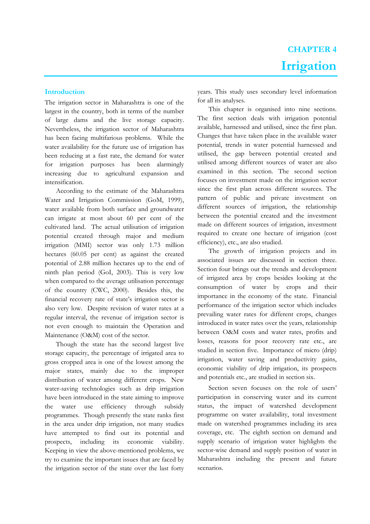# **Introduction**

The irrigation sector in Maharashtra is one of the largest in the country, both in terms of the number of large dams and the live storage capacity. Nevertheless, the irrigation sector of Maharashtra has been facing multifarious problems. While the water availability for the future use of irrigation has been reducing at a fast rate, the demand for water for irrigation purposes has been alarmingly increasing due to agricultural expansion and intensification.

According to the estimate of the Maharashtra Water and Irrigation Commission (GoM, 1999), water available from both surface and groundwater can irrigate at most about 60 per cent of the cultivated land. The actual utilisation of irrigation potential created through major and medium irrigation (MMI) sector was only 1.73 million hectares (60.05 per cent) as against the created potential of 2.88 million hectares up to the end of ninth plan period (GoI, 2003). This is very low when compared to the average utilisation percentage of the country (CWC, 2000). Besides this, the financial recovery rate of state's irrigation sector is also very low. Despite revision of water rates at a regular interval, the revenue of irrigation sector is not even enough to maintain the Operation and Maintenance (O&M) cost of the sector.

Though the state has the second largest live storage capacity, the percentage of irrigated area to gross cropped area is one of the lowest among the major states, mainly due to the improper distribution of water among different crops. New water-saving technologies such as drip irrigation have been introduced in the state aiming to improve the water use efficiency through subsidy programmes. Though presently the state ranks first in the area under drip irrigation, not many studies have attempted to find out its potential and prospects, including its economic viability. Keeping in view the above-mentioned problems, we try to examine the important issues that are faced by the irrigation sector of the state over the last forty

years. This study uses secondary level information for all its analyses.

This chapter is organised into nine sections. The first section deals with irrigation potential available, harnessed and utilised, since the first plan. Changes that have taken place in the available water potential, trends in water potential harnessed and utilised, the gap between potential created and utilised among different sources of water are also examined in this section. The second section focuses on investment made on the irrigation sector since the first plan across different sources. The pattern of public and private investment on different sources of irrigation, the relationship between the potential created and the investment made on different sources of irrigation, investment required to create one hectare of irrigation (cost efficiency), etc., are also studied.

The growth of irrigation projects and its associated issues are discussed in section three. Section four brings out the trends and development of irrigated area by crops besides looking at the consumption of water by crops and their importance in the economy of the state. Financial performance of the irrigation sector which includes prevailing water rates for different crops, changes introduced in water rates over the years, relationship between O&M costs and water rates, profits and losses, reasons for poor recovery rate etc., are studied in section five. Importance of micro (drip) irrigation, water saving and productivity gains, economic viability of drip irrigation, its prospects and potentials etc., are studied in section six.

Section seven focuses on the role of users' participation in conserving water and its current status, the impact of watershed development programme on water availability, total investment made on watershed programmes including its area coverage, etc. The eighth section on demand and supply scenario of irrigation water highlights the sector-wise demand and supply position of water in Maharashtra including the present and future scenarios.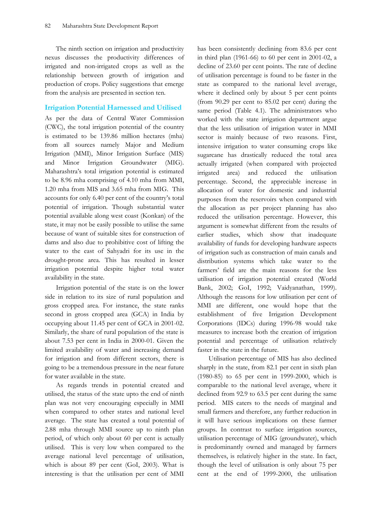The ninth section on irrigation and productivity nexus discusses the productivity differences of irrigated and non-irrigated crops as well as the relationship between growth of irrigation and production of crops. Policy suggestions that emerge from the analysis are presented in section ten.

## **Irrigation Potential Harnessed and Utilised**

As per the data of Central Water Commission (CWC), the total irrigation potential of the country is estimated to be 139.86 million hectares (mha) from all sources namely Major and Medium Irrigation (MMI), Minor Irrigation Surface (MIS) and Minor Irrigation Groundwater (MIG). Maharashtra's total irrigation potential is estimated to be 8.96 mha comprising of 4.10 mha from MMI, 1.20 mha from MIS and 3.65 mha from MIG. This accounts for only 6.40 per cent of the country's total potential of irrigation. Though substantial water potential available along west coast (Konkan) of the state, it may not be easily possible to utilise the same because of want of suitable sites for construction of dams and also due to prohibitive cost of lifting the water to the east of Sahyadri for its use in the drought-prone area. This has resulted in lesser irrigation potential despite higher total water availability in the state.

Irrigation potential of the state is on the lower side in relation to its size of rural population and gross cropped area. For instance, the state ranks second in gross cropped area (GCA) in India by occupying about 11.45 per cent of GCA in 2001-02. Similarly, the share of rural population of the state is about 7.53 per cent in India in 2000-01. Given the limited availability of water and increasing demand for irrigation and from different sectors, there is going to be a tremendous pressure in the near future for water available in the state.

As regards trends in potential created and utilised, the status of the state upto the end of ninth plan was not very encouraging especially in MMI when compared to other states and national level average. The state has created a total potential of 2.88 mha through MMI source up to ninth plan period, of which only about 60 per cent is actually utilised. This is very low when compared to the average national level percentage of utilisation, which is about 89 per cent (GoI, 2003). What is interesting is that the utilisation per cent of MMI has been consistently declining from 83.6 per cent in third plan (1961-66) to 60 per cent in 2001-02, a decline of 23.60 per cent points. The rate of decline of utilisation percentage is found to be faster in the state as compared to the national level average, where it declined only by about 5 per cent points (from 90.29 per cent to 85.02 per cent) during the same period (Table 4.1). The administrators who worked with the state irrigation department argue that the less utilisation of irrigation water in MMI sector is mainly because of two reasons. First, intensive irrigation to water consuming crops like sugarcane has drastically reduced the total area actually irrigated (when compared with projected irrigated area) and reduced the utilisation percentage. Second, the appreciable increase in allocation of water for domestic and industrial purposes from the reservoirs when compared with the allocation as per project planning has also reduced the utilisation percentage. However, this argument is somewhat different from the results of earlier studies, which show that inadequate availability of funds for developing hardware aspects of irrigation such as construction of main canals and distribution systems which take water to the farmers' field are the main reasons for the less utilisation of irrigation potential created (World Bank, 2002; GoI, 1992; Vaidyanathan, 1999). Although the reasons for low utilisation per cent of MMI are different, one would hope that the establishment of five Irrigation Development Corporations (IDCs) during 1996-98 would take measures to increase both the creation of irrigation potential and percentage of utilisation relatively faster in the state in the future.

Utilisation percentage of MIS has also declined sharply in the state, from 82.1 per cent in sixth plan (1980-85) to 65 per cent in 1999-2000, which is comparable to the national level average, where it declined from 92.9 to 63.5 per cent during the same period. MIS caters to the needs of marginal and small farmers and therefore, any further reduction in it will have serious implications on these farmer groups. In contrast to surface irrigation sources, utilisation percentage of MIG (groundwater), which is predominantly owned and managed by farmers themselves, is relatively higher in the state. In fact, though the level of utilisation is only about 75 per cent at the end of 1999-2000, the utilisation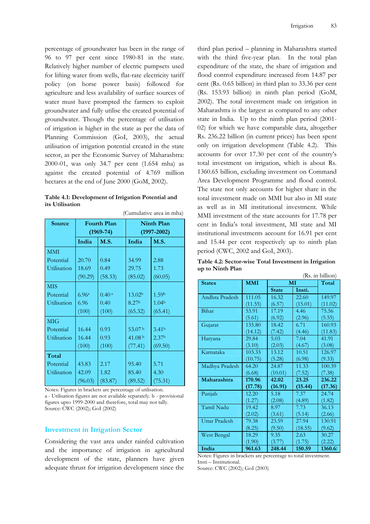percentage of groundwater has been in the range of 96 to 97 per cent since 1980-81 in the state. Relatively higher number of electric pumpsets used for lifting water from wells, flat-rate electricity tariff policy (on horse power basis) followed for agriculture and less availability of surface sources of water must have prompted the farmers to exploit groundwater and fully utilise the created potential of groundwater. Though the percentage of utilisation of irrigation is higher in the state as per the data of Planning Commission (GoI, 2003), the actual utilisation of irrigation potential created in the state sector, as per the Economic Survey of Maharashtra: 2000-01, was only 34.7 per cent (1.654 mha) as against the created potential of 4.769 million hectares at the end of June 2000 (GoM, 2002).

| Table 4.1: Development of Irrigation Potential and |  |  |
|----------------------------------------------------|--|--|
| its Utilisation                                    |  |  |

(Cumulative area in mha)

| Source      |         | <b>Fourth Plan</b><br>$(1969 - 74)$ |                    | <b>Ninth Plan</b><br>$(1997 - 2002)$ |
|-------------|---------|-------------------------------------|--------------------|--------------------------------------|
|             | India   | <b>M.S.</b>                         | India              | <b>M.S.</b>                          |
| <b>MMI</b>  |         |                                     |                    |                                      |
| Potential   | 20.70   | 0.84                                | 34.99              | 2.88                                 |
| Utilisation | 18.69   | 0.49                                | 29.75              | 1.73                                 |
|             | (90.29) | (58.33)                             | (85.02)            | (60.05)                              |
| <b>MIS</b>  |         |                                     |                    |                                      |
| Potential   | 6.96a   | 0.40 <sup>a</sup>                   | 13.02 <sup>b</sup> | 1.59b                                |
| Utilisation | 6.96    | 0.40                                | 8.27 <sup>b</sup>  | 1.04 <sup>b</sup>                    |
|             | (100)   | (100)                               | (65.32)            | (65.41)                              |
| <b>MIG</b>  |         |                                     |                    |                                      |
| Potential   | 16.44   | 0.93                                | 53.07b             | 3.41 <sup>b</sup>                    |
| Utilisation | 16.44   | 0.93                                | 41.08 <sup>b</sup> | 2.37 <sup>b</sup>                    |
|             | (100)   | (100)                               | (77.41)            | (69.50)                              |
| Total       |         |                                     |                    |                                      |
| Potential   | 43.83   | 2.17                                | 95.40              | 5.71                                 |
| Utilisation | 42.09   | 1.82                                | 85.40              | 4.30                                 |
|             | (96.03) | (83.87)                             | (89.52)            | (75.31)                              |

Notes: Figures in brackets are percentage of utilisation. a - Utilisation figures are not available separately. b - provisional figures upto 1999-2000 and therefore, total may not tally. Source: CWC (2002); GoI (2002)

## **Investment in Irrigation Sector**

Considering the vast area under rainfed cultivation and the importance of irrigation in agricultural development of the state, planners have given adequate thrust for irrigation development since the third plan period – planning in Maharashtra started with the third five-year plan. In the total plan expenditure of the state, the share of irrigation and flood control expenditure increased from 14.87 per cent (Rs. 0.65 billion) in third plan to 33.36 per cent (Rs. 153.93 billion) in ninth plan period (GoM, 2002). The total investment made on irrigation in Maharashtra is the largest as compared to any other state in India. Up to the ninth plan period (2001- 02) for which we have comparable data, altogether Rs. 236.22 billion (in current prices) has been spent only on irrigation development (Table 4.2). This accounts for over 17.30 per cent of the country's total investment on irrigation, which is about Rs. 1360.65 billion, excluding investment on Command Area Development Programme and flood control. The state not only accounts for higher share in the total investment made on MMI but also in MI state as well as in MI institutional investment. While MMI investment of the state accounts for 17.78 per cent in India's total investment, MI state and MI institutional investments account for 16.91 per cent and 15.44 per cent respectively up to ninth plan period (CWC, 2002 and GoI, 2003).

**Table 4.2: Sector-wise Total Investment in Irrigation up to Ninth Plan** 

|                      |            |              |         | (Rs. in billion) |
|----------------------|------------|--------------|---------|------------------|
| <b>States</b>        | <b>MMI</b> |              | MI      | Total            |
|                      |            | <b>State</b> | Insti.  |                  |
| Andhra Pradesh       | 111.05     | 16.32        | 22.60   | 149.97           |
|                      | (11.55)    | (6.57)       | (15.01) | (11.02)          |
| Bihar                | 53.91      | 17.19        | 4.46    | 75.56            |
|                      | (5.61)     | (6.92)       | (2.96)  | (5.55)           |
| Gujarat              | 135.80     | 18.42        | 6.71    | 160.93           |
|                      | (14.12)    | (7.42)       | (4.46)  | (11.83)          |
| Haryana              | 29.84      | 5.03         | 7.04    | 41.91            |
|                      | (3.10)     | (2.03)       | (4.67)  | (3.08)           |
| Karnataka            | 103.33     | 13.12        | 10.51   | 126.97           |
|                      | (10.75)    | (5.28)       | (6.98)  | (9.33)           |
| Madhya Pradesh       | 64.20      | 24.87        | 11.33   | 100.39           |
|                      | (6.68)     | (10.01)      | (7.52)  | (7.38)           |
| Maharashtra          | 170.96     | 42.02        | 23.25   | 236.22           |
|                      | (17.78)    | (16.91)      | (15.44) | (17.36)          |
| Punjab               | 12.20      | 5.18         | 7.37    | 24.74            |
|                      | (1.27)     | (2.08)       | (4.89)  | (1.82)           |
| Tamil Nadu           | 19.42      | 8.97         | 7.73    | 36.13            |
|                      | (2.02)     | (3.61)       | (5.14)  | (2.66)           |
| <b>Uttar Pradesh</b> | 79.38      | 23.59        | 27.94   | 130.91           |
|                      | (8.25)     | (9.50)       | (18.55) | (9.62)           |
| West Bengal          | 18.29      | 9.35         | 2.63    | 30.27            |
|                      | (1.90)     | (3.77)       | (1.75)  | (2.22)           |
| India                | 961.63     | 248.44       | 150.59  | 1360.6           |

Notes: Figures in brackets are percentage to total investment. Insti – Institutional. Source: CWC (2002); GoI (2003)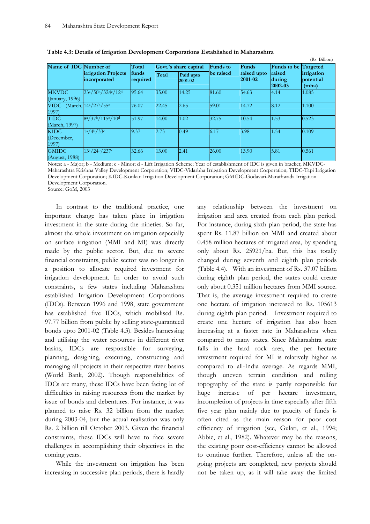|                                    |                                                                                     |           |            |                        |                             |                                  |                      | (Rs. Billion) |
|------------------------------------|-------------------------------------------------------------------------------------|-----------|------------|------------------------|-----------------------------|----------------------------------|----------------------|---------------|
| Name of IDC Number of              |                                                                                     | Total     |            | Govt.'s share capital  | <b>Funds</b> to             | Funds                            | Funds to be Targeted |               |
|                                    | <b>irrigation Projects</b><br>funds<br>Total<br>required<br>incorporated<br>2001-02 | Paid upto | lbe raised | raised upto<br>2001-02 | raised<br>during<br>2002-03 | irrigation<br>potential<br>(mha) |                      |               |
| <b>MKVDC</b><br>(January, 1996)    | 23a/50b/324c/12d                                                                    | 95.64     | 35.00      | 14.25                  | 81.60                       | 54.63                            | 4.14                 | 1.085         |
| <b>VIDC</b><br>1997)               | (March, 14 <sup>a</sup> /27 <sup>b</sup> /55 <sup>c</sup>                           | 76.07     | 22.45      | 2.65                   | 59.01                       | 14.72                            | 8.12                 | 1.100         |
| <b>TIDC</b><br>(March, 1997)       | 8a/37b/115c/10d                                                                     | 51.97     | 14.00      | 1.02                   | 32.75                       | 10.54                            | 1.53                 | 0.523         |
| <b>KIDC</b><br>(December,<br>1997) | 1a/4b/33c                                                                           | 9.37      | 2.73       | 0.49                   | 6.17                        | 3.98                             | 1.54                 | 0.109         |
| <b>GMIDC</b><br>(August, 1988)     | 13a/24b/237c                                                                        | 32.66     | 13.00      | 2.41                   | 26.00                       | 13.90                            | 5.81                 | 0.561         |

 **Table 4.3: Details of Irrigation Development Corporations Established in Maharashtra** 

Notes: a - Major; b - Medium; c - Minor; d - Lift Irrigation Scheme; Year of establishment of IDC is given in bracket; MKVDC-Maharashtra Krishna Valley Development Corporation; VIDC-Vidarbha Irrigation Development Corporation; TIDC-Tapi Irrigation Development Corporation; KIDC-Konkan Irrigation Development Corporation; GMIDC-Godavari-Marathwada Irrigation Development Corporation.

Source: GoM, 2003

In contrast to the traditional practice, one important change has taken place in irrigation investment in the state during the nineties. So far, almost the whole investment on irrigation especially on surface irrigation (MMI and MI) was directly made by the public sector. But, due to severe financial constraints, public sector was no longer in a position to allocate required investment for irrigation development. In order to avoid such constraints, a few states including Maharashtra established Irrigation Development Corporations (IDCs). Between 1996 and 1998, state government has established five IDCs, which mobilised Rs. 97.77 billion from public by selling state-guaranteed bonds upto 2001-02 (Table 4.3). Besides harnessing and utilising the water resources in different river basins, IDCs are responsible for surveying, planning, designing, executing, constructing and managing all projects in their respective river basins (World Bank, 2002). Though responsibilities of IDCs are many, these IDCs have been facing lot of difficulties in raising resources from the market by issue of bonds and debentures. For instance, it was planned to raise Rs. 32 billion from the market during 2003-04, but the actual realisation was only Rs. 2 billion till October 2003. Given the financial constraints, these IDCs will have to face severe challenges in accomplishing their objectives in the coming years.

While the investment on irrigation has been increasing in successive plan periods, there is hardly any relationship between the investment on irrigation and area created from each plan period. For instance, during sixth plan period, the state has spent Rs. 11.87 billion on MMI and created about 0.458 million hectares of irrigated area, by spending only about Rs. 25921/ha. But, this has totally changed during seventh and eighth plan periods (Table 4.4). With an investment of Rs. 37.07 billion during eighth plan period, the states could create only about 0.351 million hectares from MMI source. That is, the average investment required to create one hectare of irrigation increased to Rs. 105613 during eighth plan period. Investment required to create one hectare of irrigation has also been increasing at a faster rate in Maharashtra when compared to many states. Since Maharashtra state falls in the hard rock area, the per hectare investment required for MI is relatively higher as compared to all-India average. As regards MMI, though uneven terrain condition and rolling topography of the state is partly responsible for huge increase of per hectare investment, incompletion of projects in time especially after fifth five year plan mainly due to paucity of funds is often cited as the main reason for poor cost efficiency of irrigation (see, Gulati, et al., 1994; Abbie, et al., 1982). Whatever may be the reasons, the existing poor cost-efficiency cannot be allowed to continue further. Therefore, unless all the ongoing projects are completed, new projects should not be taken up, as it will take away the limited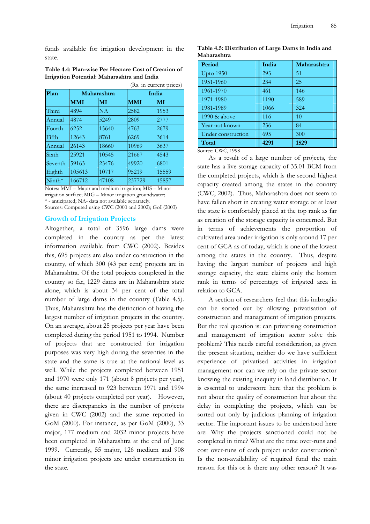funds available for irrigation development in the state.

|              |            |             |            | (Rs. in current prices) |  |  |
|--------------|------------|-------------|------------|-------------------------|--|--|
| Plan         |            | Maharashtra |            | India                   |  |  |
|              | <b>MMI</b> | MI          | <b>MMI</b> | MI                      |  |  |
| Third        | 4894       | NA          | 2582       | 1953                    |  |  |
| Annual       | 4874       | 5249        | 2809       | 2777                    |  |  |
| Fourth       | 6252       | 15640       | 4763       | 2679                    |  |  |
| <b>Fifth</b> | 12643      | 8761        | 6269       | 3614                    |  |  |
| Annual       | 26143      | 18660       | 10969      | 3637                    |  |  |
| <b>Sixth</b> | 25921      | 10545       | 21667      | 4543                    |  |  |
| Seventh      | 59163      | 23476       | 49920      | 6801                    |  |  |
| Eighth       | 105613     | 10717       | 95219      | 15559                   |  |  |
| $N$ inth*    | 166712     | 47108       | 237729     | 15857                   |  |  |

**Table 4.4: Plan-wise Per Hectare Cost of Creation of Irrigation Potential: Maharashtra and India** 

Notes: MMI – Major and medium irrigation; MIS – Minor irrigation surface; MIG – Minor irrigation groundwater; \* - anticipated; NA- data not available separately. Sources: Computed using CWC (2000 and 2002); GoI (2003)

### **Growth of Irrigation Projects**

Altogether, a total of 3596 large dams were completed in the country as per the latest information available from CWC (2002). Besides this, 695 projects are also under construction in the country, of which 300 (43 per cent) projects are in Maharashtra. Of the total projects completed in the country so far, 1229 dams are in Maharashtra state alone, which is about 34 per cent of the total number of large dams in the country (Table 4.5). Thus, Maharashtra has the distinction of having the largest number of irrigation projects in the country. On an average, about 25 projects per year have been completed during the period 1951 to 1994. Number of projects that are constructed for irrigation purposes was very high during the seventies in the state and the same is true at the national level as well. While the projects completed between 1951 and 1970 were only 171 (about 8 projects per year), the same increased to 923 between 1971 and 1994 (about 40 projects completed per year). However, there are discrepancies in the number of projects given in CWC (2002) and the same reported in GoM (2000). For instance, as per GoM (2000), 33 major, 177 medium and 2032 minor projects have been completed in Maharashtra at the end of June 1999. Currently, 55 major, 126 medium and 908 minor irrigation projects are under construction in the state.

**Table 4.5: Distribution of Large Dams in India and Maharashtra** 

| Period             | India | Maharashtra |
|--------------------|-------|-------------|
| <b>Upto</b> 1950   | 293   | 51          |
| 1951-1960          | 234   | 25          |
| 1961-1970          | 461   | 146         |
| 1971-1980          | 1190  | 589         |
| 1981-1989          | 1066  | 324         |
| 1990 & above       | 116   | 10          |
| Year not known     | 236   | 84          |
| Under construction | 695   | 300         |
| Total              | 4291  | 1529        |

Source: CWC, 1998

As a result of a large number of projects, the state has a live storage capacity of 35.01 BCM from the completed projects, which is the second highest capacity created among the states in the country (CWC, 2002). Thus, Maharashtra does not seem to have fallen short in creating water storage or at least the state is comfortably placed at the top rank as far as creation of the storage capacity is concerned. But in terms of achievements the proportion of cultivated area under irrigation is only around 17 per cent of GCA as of today, which is one of the lowest among the states in the country. Thus, despite having the largest number of projects and high storage capacity, the state claims only the bottom rank in terms of percentage of irrigated area in relation to GCA.

A section of researchers feel that this imbroglio can be sorted out by allowing privatisation of construction and management of irrigation projects. But the real question is: can privatising construction and management of irrigation sector solve this problem? This needs careful consideration, as given the present situation, neither do we have sufficient experience of privatised activities in irrigation management nor can we rely on the private sector knowing the existing inequity in land distribution. It is essential to underscore here that the problem is not about the quality of construction but about the delay in completing the projects, which can be sorted out only by judicious planning of irrigation sector. The important issues to be understood here are: Why the projects sanctioned could not be completed in time? What are the time over-runs and cost over-runs of each project under construction? Is the non-availability of required fund the main reason for this or is there any other reason? It was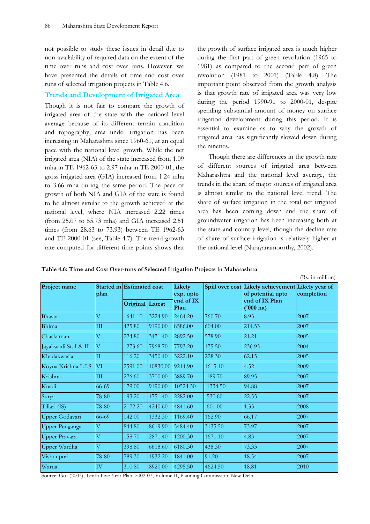not possible to study these issues in detail due to non-availability of required data on the extent of the time over runs and cost over runs. However, we have presented the details of time and cost over runs of selected irrigation projects in Table 4.6.

## **Trends and Development of Irrigated Area**

Though it is not fair to compare the growth of irrigated area of the state with the national level average because of its different terrain condition and topography, area under irrigation has been increasing in Maharashtra since 1960-61, at an equal pace with the national level growth. While the net irrigated area (NIA) of the state increased from 1.09 mha in TE 1962-63 to 2.97 mha in TE 2000-01, the gross irrigated area (GIA) increased from 1.24 mha to 3.66 mha during the same period. The pace of growth of both NIA and GIA of the state is found to be almost similar to the growth achieved at the national level, where NIA increased 2.22 times (from 25.07 to 55.73 mha) and GIA increased 2.51 times (from 28.63 to 73.93) between TE 1962-63 and TE 2000-01 (see, Table 4.7). The trend growth rate computed for different time points shows that the growth of surface irrigated area is much higher during the first part of green revolution (1965 to 1981) as compared to the second part of green revolution (1981 to 2001) (Table 4.8). The important point observed from the growth analysis is that growth rate of irrigated area was very low during the period 1990-91 to 2000-01, despite spending substantial amount of money on surface irrigation development during this period. It is essential to examine as to why the growth of irrigated area has significantly slowed down during the nineties.

Though there are differences in the growth rate of different sources of irrigated area between Maharashtra and the national level average, the trends in the share of major sources of irrigated area is almost similar to the national level trend. The share of surface irrigation in the total net irrigated area has been coming down and the share of groundwater irrigation has been increasing both at the state and country level, though the decline rate of share of surface irrigation is relatively higher at the national level (Narayanamoorthy, 2002).

**Table 4.6: Time and Cost Over-runs of Selected Irrigation Projects in Maharashtra** 

| Project name            | Started in Estimated cost |                 |          | Likely            |            | Spill over cost Likely achievement Likely year of |            |
|-------------------------|---------------------------|-----------------|----------|-------------------|------------|---------------------------------------------------|------------|
|                         | plan                      |                 |          | exp. upto         |            | of potential upto                                 | completion |
|                         |                           | Original Latest |          | end of IX<br>Plan |            | end of IX Plan<br>('000 ha)                       |            |
| Bhasta                  | $\overline{\rm V}$        | 1641.10         | 3224.90  | 2464.20           | 760.70     | 8.93                                              | 2007       |
| Bhima                   | III                       | 425.80          | 9190.00  | 8586.00           | 604.00     | 214.53                                            | 2007       |
| Chaskaman               | $\overline{\mathrm{V}}$   | 224.80          | 3471.40  | 2892.50           | 578.90     | 21.21                                             | 2005       |
| Jayakwadi St. I & II    | $\overline{\mathrm{V}}$   | 1273.60         | 7968.70  | 7793.20           | 175.50     | 236.93                                            | 2004       |
| Khadakwasla             | Π                         | 116.20          | 3450.40  | 3222.10           | 228.30     | 62.15                                             | 2005       |
| Koyna Krishna L.I.S. VI |                           | 2591.00         | 10830.00 | 9214.90           | 1615.10    | 4.52                                              | 2009       |
| Krishna                 | Ш                         | 276.60          | 3700.00  | 3889.70           | $-189.70$  | 89.95                                             | 2007       |
| Kuadi                   | 66-69                     | 179.00          | 9190.00  | 10524.50          | $-1334.50$ | 94.88                                             | 2007       |
| Surya                   | 78-80                     | 193.20          | 1751.40  | 2282.00           | $-530.60$  | 22.55                                             | 2007       |
| Tillari (IS)            | 78-80                     | 2172.20         | 4240.60  | 4841.60           | $-601.00$  | 1.33                                              | 2008       |
| Upper Godavari          | 66-69                     | 142.00          | 1332.30  | 1169.40           | 162.90     | 66.17                                             | 2007       |
| <b>Upper Penganga</b>   | $\overline{\mathrm{V}}$   | 844.80          | 8619.90  | 5484.40           | 3135.50    | 73.97                                             | 2007       |
| <b>Upper Pravara</b>    | $\overline{\mathrm{V}}$   | 158.70          | 2871.40  | 1200.30           | 1671.10    | 4.83                                              | 2007       |
| Upper Wardha            | $\overline{\mathrm{V}}$   | 398.80          | 6618.60  | 6180.30           | 438.30     | 73.33                                             | 2007       |
| Vishnupuri              | 78-80                     | 789.30          | 1932.20  | 1841.00           | 91.20      | 18.54                                             | 2007       |
| Warna                   | IV                        | 310.80          | 8920.00  | 4295.50           | 4624.50    | 18.81                                             | 2010       |
|                         |                           |                 |          |                   |            |                                                   |            |

Source: GoI (2003), Tenth Five Year Plan: 2002-07, Volume II, Planning Commission, New Delhi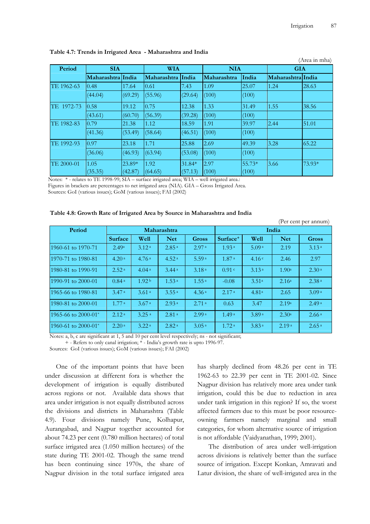|            |                   |         |             |         |             |            |                   | (Area in mha) |  |
|------------|-------------------|---------|-------------|---------|-------------|------------|-------------------|---------------|--|
| Period     | <b>SIA</b>        |         | <b>WIA</b>  |         |             | <b>NIA</b> |                   | <b>GIA</b>    |  |
|            | Maharashtra India |         | Maharashtra | India   | Maharashtra | India      | Maharashtra India |               |  |
| TE 1962-63 | 0.48              | 17.64   | 0.61        | 7.43    | 1.09        | 25.07      | 1.24              | 28.63         |  |
|            | (44.04)           | (69.29) | (55.96)     | (29.64) | (100)       | (100)      |                   |               |  |
| TE 1972-73 | 0.58              | 19.12   | 0.75        | 12.38   | 1.33        | 31.49      | 1.55              | 38.56         |  |
|            | (43.61)           | (60.70) | (56.39)     | (39.28) | (100)       | (100)      |                   |               |  |
| TE 1982-83 | 0.79              | 21.38   | 1.12        | 18.59   | 1.91        | 39.97      | 2.44              | 51.01         |  |
|            | (41.36)           | (53.49) | (58.64)     | (46.51) | (100)       | (100)      |                   |               |  |
| TE 1992-93 | 0.97              | 23.18   | 1.71        | 25.88   | 2.69        | 49.39      | 3.28              | 65.22         |  |
|            | (36.06)           | (46.93) | (63.94)     | (53.08) | (100)       | (100)      |                   |               |  |
| TE 2000-01 | 1.05              | 23.89*  | 1.92        | 31.84*  | 2.97        | 55.73*     | 3.66              | 73.93*        |  |
|            | (35.35)           | (42.87) | (64.65)     | (57.13) | (100)       | (100)      |                   |               |  |

### **Table 4.7: Trends in Irrigated Area - Maharashtra and India**

Notes: \* - relates to TE 1998-99; SIA – surface irrigated area; WIA – well irrigated area.: Figures in brackets are percentages to net irrigated area (NIA). GIA – Gross Irrigated Area.

Sources: GoI (various issues); GoM (various issues); FAI (2002)

#### **Table 4.8: Growth Rate of Irrigated Area by Source in Maharashtra and India**

|                     |                   |                     |                   |                   |                      |                   |                   | (Per cent per annum) |
|---------------------|-------------------|---------------------|-------------------|-------------------|----------------------|-------------------|-------------------|----------------------|
| Period              |                   |                     | Maharashtra       |                   |                      |                   | India             |                      |
|                     | <b>Surface</b>    | Well                | <b>Net</b>        | Gross             | Surface <sup>+</sup> | Well              | <b>Net</b>        | <b>Gross</b>         |
| 1960-61 to 1970-71  | 2.49a             | 3.12 <sup>a</sup>   | 2.85 <sup>a</sup> | 2.97 <sup>a</sup> | 1.93 <sup>a</sup>    | 5.09 <sup>a</sup> | 2.19              | 3.13 <sup>a</sup>    |
| 1970-71 to 1980-81  | 4.20 <sup>a</sup> | 4.76 <sup>a</sup>   | 4.52 <sup>a</sup> | 5.59a             | 1.87 <sup>a</sup>    | 4.16c             | 2.46              | 2.97                 |
| 1980-81 to 1990-91  | 2.52 <sup>a</sup> | 4.04 <sup>a</sup>   | 3.44a             | 3.18 <sup>a</sup> | 0.91 <sup>c</sup>    | 3.13 <sup>a</sup> | 1.90 <sup>a</sup> | 2.30 <sup>a</sup>    |
| 1990-91 to 2000-01  | 0.84 <sup>a</sup> | 1.92 <sup>b</sup>   | 1.53 <sup>a</sup> | 1.55 <sup>a</sup> | $-0.08$              | 3.51 <sup>a</sup> | 2.16 <sup>a</sup> | 2.38 <sup>a</sup>    |
| 1965-66 to 1980-81  | 3.47 <sup>a</sup> | 3.61 <sup>a</sup>   | 3.55 <sup>a</sup> | 4.36 <sup>a</sup> | 2.17 <sup>a</sup>    | 4.81 <sup>a</sup> | 2.65              | 3.09a                |
| 1980-81 to 2000-01  | 1.77 <sup>a</sup> | 3.67 <sup>a</sup>   | 2.93 <sup>a</sup> | 2.71a             | 0.63                 | 3.47              | 2.19a             | 2.49 <sup>a</sup>    |
| 1965-66 to 2000-01* | 2.12 <sup>a</sup> | $3.25$ <sup>a</sup> | 2.81 <sup>a</sup> | 2.99a             | 1.49a                | 3.89 <sup>a</sup> | 2.30 <sup>a</sup> | 2.66 <sup>a</sup>    |
| 1960-61 to 2000-01* | 2.20 <sup>a</sup> | 3.22 <sup>a</sup>   | 2.82 <sup>a</sup> | 3.05 <sup>a</sup> | 1.72 <sup>a</sup>    | 3.83 <sup>a</sup> | 2.19a             | 2.65 <sup>a</sup>    |

Notes: a, b, c are significant at 1, 5 and 10 per cent level respectively; ns - not significant;

+ - Refers to only canal irrigation; \* - India's growth rate is upto 1996-97.

Sources: GoI (various issues); GoM (various issues); FAI (2002)

One of the important points that have been under discussion at different fora is whether the development of irrigation is equally distributed across regions or not. Available data shows that area under irrigation is not equally distributed across the divisions and districts in Maharashtra (Table 4.9). Four divisions namely Pune, Kolhapur, Aurangabad, and Nagpur together accounted for about 74.23 per cent (0.780 million hectares) of total surface irrigated area (1.050 million hectares) of the state during TE 2001-02. Though the same trend has been continuing since 1970s, the share of Nagpur division in the total surface irrigated area

has sharply declined from 48.26 per cent in TE 1962-63 to 22.39 per cent in TE 2001-02. Since Nagpur division has relatively more area under tank irrigation, could this be due to reduction in area under tank irrigation in this region? If so, the worst affected farmers due to this must be poor resourceowning farmers namely marginal and small categories, for whom alternative source of irrigation is not affordable (Vaidyanathan, 1999; 2001).

The distribution of area under well-irrigation across divisions is relatively better than the surface source of irrigation. Except Konkan, Amravati and Latur division, the share of well-irrigated area in the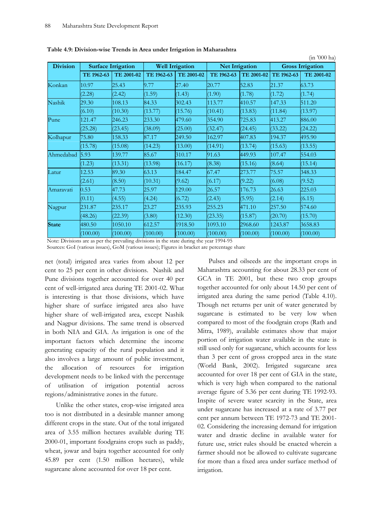| <b>Division</b> |            | <b>Surface Irrigation</b> |            | <b>Well Irrigation</b> |            | <b>Net Irrigation</b> |            | <b>Gross Irrigation</b> |
|-----------------|------------|---------------------------|------------|------------------------|------------|-----------------------|------------|-------------------------|
|                 | TE 1962-63 | TE 2001-02                | TE 1962-63 | TE 2001-02             | TE 1962-63 | TE 2001-02            | TE 1962-63 | TE 2001-02              |
| Konkan          | 10.97      | 25.43                     | 9.77       | 27.40                  | 20.77      | 52.83                 | 21.37      | 63.73                   |
|                 | (2.28)     | (2.42)                    | (1.59)     | (1.43)                 | (1.90)     | (1.78)                | (1.72)     | (1.74)                  |
| Nashik          | 29.30      | 108.13                    | 84.33      | 302.43                 | 113.77     | 410.57                | 147.33     | 511.20                  |
|                 | (6.10)     | (10.30)                   | (13.77)    | (15.76)                | (10.41)    | (13.83)               | (11.84)    | (13.97)                 |
| Pune            | 121.47     | 246.23                    | 233.30     | 479.60                 | 354.90     | 725.83                | 413.27     | 886.00                  |
|                 | (25.28)    | (23.45)                   | (38.09)    | (25.00)                | (32.47)    | (24.45)               | (33.22)    | (24.22)                 |
| Kolhapur        | 75.80      | 158.33                    | 87.17      | 249.50                 | 162.97     | 407.83                | 194.37     | 495.90                  |
|                 | (15.78)    | (15.08)                   | (14.23)    | (13.00)                | (14.91)    | (13.74)               | (15.63)    | (13.55)                 |
| Ahmedabad       | 5.93       | 139.77                    | 85.67      | 310.17                 | 91.63      | 449.93                | 107.47     | 554.03                  |
|                 | (1.23)     | (13.31)                   | (13.98)    | (16.17)                | (8.38)     | (15.16)               | (8.64)     | (15.14)                 |
| Latur           | 12.53      | 89.30                     | 63.13      | 184.47                 | 67.47      | 273.77                | 75.57      | 348.33                  |
|                 | (2.61)     | (8.50)                    | (10.31)    | (9.62)                 | (6.17)     | (9.22)                | (6.08)     | (9.52)                  |
| Amaravati       | 0.53       | 47.73                     | 25.97      | 129.00                 | 26.57      | 176.73                | 26.63      | 225.03                  |
|                 | (0.11)     | (4.55)                    | (4.24)     | (6.72)                 | (2.43)     | (5.95)                | (2.14)     | (6.15)                  |
| Nagpur          | 231.87     | 235.17                    | 23.27      | 235.93                 | 255.23     | 471.10                | 257.50     | 574.60                  |
|                 | (48.26)    | (22.39)                   | (3.80)     | (12.30)                | (23.35)    | (15.87)               | (20.70)    | (15.70)                 |
| <b>State</b>    | 480.50     | 1050.10                   | 612.57     | 1918.50                | 1093.10    | 2968.60               | 1243.87    | 3658.83                 |
|                 | (100.00)   | (100.00)                  | (100.00)   | (100.00)               | (100.00)   | (100.00)              | (100.00)   | (100.00)                |

**Table 4.9: Division-wise Trends in Area under Irrigation in Maharashtra** 

Note: Divisions are as per the prevailing divisions in the state during the year 1994-95

Sources: GoI (various issues), GoM (various issues); Figures in bracket are percentage share

net (total) irrigated area varies from about 12 per cent to 25 per cent in other divisions. Nashik and Pune divisions together accounted for over 40 per cent of well-irrigated area during TE 2001-02. What is interesting is that those divisions, which have higher share of surface irrigated area also have higher share of well-irrigated area, except Nashik and Nagpur divisions. The same trend is observed in both NIA and GIA. As irrigation is one of the important factors which determine the income generating capacity of the rural population and it also involves a large amount of public investment, the allocation of resources for irrigation development needs to be linked with the percentage of utilisation of irrigation potential across regions/administrative zones in the future.

Unlike the other states, crop-wise irrigated area too is not distributed in a desirable manner among different crops in the state. Out of the total irrigated area of 3.55 million hectares available during TE 2000-01, important foodgrains crops such as paddy, wheat, jowar and bajra together accounted for only 45.89 per cent (1.50 million hectares), while sugarcane alone accounted for over 18 per cent.

Pulses and oilseeds are the important crops in Maharashtra accounting for about 28.33 per cent of GCA in TE 2001, but these two crop groups together accounted for only about 14.50 per cent of irrigated area during the same period (Table 4.10). Though net returns per unit of water generated by sugarcane is estimated to be very low when compared to most of the foodgrain crops (Rath and Mitra, 1989), available estimates show that major portion of irrigation water available in the state is still used only for sugarcane, which accounts for less than 3 per cent of gross cropped area in the state (World Bank, 2002). Irrigated sugarcane area accounted for over 18 per cent of GIA in the state, which is very high when compared to the national average figure of 5.36 per cent during TE 1992-93. Inspite of severe water scarcity in the State, area under sugarcane has increased at a rate of 3.77 per cent per annum between TE 1972-73 and TE 2001- 02. Considering the increasing demand for irrigation water and drastic decline in available water for future use, strict rules should be enacted wherein a farmer should not be allowed to cultivate sugarcane for more than a fixed area under surface method of irrigation.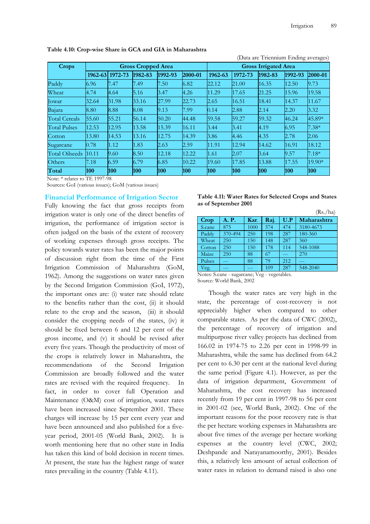|                       |                           |            |         |         |         |                             |         | (Data are Triennium Ending averages) |         |         |
|-----------------------|---------------------------|------------|---------|---------|---------|-----------------------------|---------|--------------------------------------|---------|---------|
| Crops                 | <b>Gross Cropped Area</b> |            |         |         |         | <b>Gross Irrigated Area</b> |         |                                      |         |         |
|                       | $1962 - 63$               | 1972-73    | 1982-83 | 1992-93 | 2000-01 | 1962-63                     | 1972-73 | 1982-83                              | 1992-93 | 2000-01 |
| Paddy                 | 6.96                      | 7.47       | 7.49    | 7.50    | 6.82    | 22.12                       | 21.00   | 16.35                                | 12.50   | 9.73    |
| Wheat                 | 4.74                      | 4.64       | 5.16    | 3.47    | 4.26    | 11.29                       | 17.65   | 21.25                                | 15.96   | 19.58   |
| <b>l</b> owar         | 32.64                     | 31.98      | 33.16   | 27.99   | 22.73   | 2.65                        | 16.51   | 18.41                                | 14.37   | 11.67   |
| Bajara                | 8.80                      | 8.88       | 8.08    | 9.13    | 7.99    | 0.14                        | 2.88    | 2.14                                 | 2.20    | 3.32    |
| <b>Total Cereals</b>  | 55.60                     | 55.21      | 56.14   | 50.20   | 44.48   | 59.58                       | 59.27   | 59.32                                | 46.24   | 45.89*  |
| <b>Total Pulses</b>   | 12.53                     | 12.95      | 13.58   | 15.39   | 16.11   | 3.44                        | 3.41    | 4.19                                 | 6.95    | $7.38*$ |
| Cotton                | 13.80                     | 14.53      | 13.16   | 12.75   | 14.39   | 3.86                        | 4.46    | 4.35                                 | 2.78    | 2.06    |
| Sugarcane             | 0.78                      | 1.12       | 1.83    | 2.63    | 2.59    | 11.91                       | 12.94   | 14.62                                | 16.91   | 18.12   |
| <b>Total Oilseeds</b> | 10.11                     | 9.60       | 8.50    | 12.18   | 12.22   | 1.61                        | 2.07    | 3.64                                 | 9.57    | $7.18*$ |
| Others                | 7.18                      | 6.59       | 6.79    | 6.85    | 10.22   | 19.60                       | 17.85   | 13.88                                | 17.55   | 19.90*  |
| Total                 | <b>100</b>                | <b>100</b> | 100     | 100     | 100     | 100                         | 100     | 100                                  | 100     | 100     |

**Table 4.10: Crop-wise Share in GCA and GIA in Maharashtra** 

Note: \* relates to TE 1997-98

Sources: GoI (various issues); GoM (various issues)

### **Financial Performance of Irrigation Sector**

Fully knowing the fact that gross receipts from irrigation water is only one of the direct benefits of irrigation, the performance of irrigation sector is often judged on the basis of the extent of recovery of working expenses through gross receipts. The policy towards water rates has been the major points of discussion right from the time of the First Irrigation Commission of Maharashtra (GoM, 1962). Among the suggestions on water rates given by the Second Irrigation Commission (GoI, 1972), the important ones are: (i) water rate should relate to the benefits rather than the cost, (ii) it should relate to the crop and the season, (iii) it should consider the cropping needs of the states, (iv) it should be fixed between 6 and 12 per cent of the gross income, and (v) it should be revised after every five years. Though the productivity of most of the crops is relatively lower in Maharashtra, the recommendations of the Second Irrigation Commission are broadly followed and the water rates are revised with the required frequency. In fact, in order to cover full Operation and Maintenance (O&M) cost of irrigation, water rates have been increased since September 2001. These charges will increase by 15 per cent every year and have been announced and also published for a fiveyear period, 2001-05 (World Bank, 2002). It is worth mentioning here that no other state in India has taken this kind of bold decision in recent times. At present, the state has the highest range of water rates prevailing in the country (Table 4.11).

| Table 4.11: Water Rates for Selected Crops and States |
|-------------------------------------------------------|
| as of September 2001                                  |

|        |         |      |      |            | (Rs./ha)    |
|--------|---------|------|------|------------|-------------|
| Crop   | A. P.   | Kar. | Raj. | U.P        | Maharashtra |
| S.cane | 875     | 1000 | 574  | 474        | 3180-4673   |
| Paddy  | 370-494 | 250  | 198  | 287        | 180-360     |
| Wheat  | 250     | 150  | 148  | 287        | 360         |
| Cotton | 250     | 150  | 178  | 114        | 548-1088    |
| Maize  | 250     | 88   | 67   |            | 270         |
| Pulses |         | 88   | 79   | 212        |             |
| Veg.   |         |      | 109  | 287<br>. . | 548-2040    |

Notes: S.cane - sugarcane; Veg - vegetables. Source: World Bank, 2002

Though the water rates are very high in the state, the percentage of cost-recovery is not appreciably higher when compared to other comparable states. As per the data of CWC (2002), the percentage of recovery of irrigation and multipurpose river valley projects has declined from 166.02 in 1974-75 to 2.26 per cent in 1998-99 in Maharashtra, while the same has declined from 64.2 per cent to 6.30 per cent at the national level during the same period (Figure 4.1). However, as per the data of irrigation department, Government of Maharashtra, the cost recovery has increased recently from 19 per cent in 1997-98 to 56 per cent in 2001-02 (see, World Bank, 2002). One of the important reasons for the poor recovery rate is that the per hectare working expenses in Maharashtra are about five times of the average per hectare working expenses at the country level (CWC, 2002; Deshpande and Narayanamoorthy, 2001). Besides this, a relatively less amount of actual collection of water rates in relation to demand raised is also one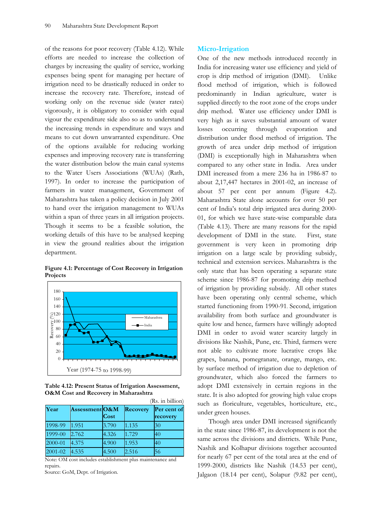of the reasons for poor recovery (Table 4.12). While efforts are needed to increase the collection of charges by increasing the quality of service, working expenses being spent for managing per hectare of irrigation need to be drastically reduced in order to increase the recovery rate. Therefore, instead of working only on the revenue side (water rates) vigorously, it is obligatory to consider with equal vigour the expenditure side also so as to understand the increasing trends in expenditure and ways and means to cut down unwarranted expenditure. One of the options available for reducing working expenses and improving recovery rate is transferring the water distribution below the main canal systems to the Water Users Associations (WUAs) (Rath, 1997). In order to increase the participation of farmers in water management, Government of Maharashtra has taken a policy decision in July 2001 to hand over the irrigation management to WUAs within a span of three years in all irrigation projects. Though it seems to be a feasible solution, the working details of this have to be analysed keeping in view the ground realities about the irrigation department.





**Table 4.12: Present Status of Irrigation Assessment, O&M Cost and Recovery in Maharashtra** 

|         |                |       |          | (Rs. in billion)        |
|---------|----------------|-------|----------|-------------------------|
| Year    | Assessment O&M | Cost  | Recovery | Per cent of<br>recovery |
| 1998-99 | 1.951          | 3.790 | 1.135    | 30                      |
| 1999-00 | 2.762          | 4.326 | 1.729    | 40                      |
| 2000-01 | 4.375          | 4.900 | 1.953    | 40                      |
| 2001-02 | 4.535          | 4.500 | 2.516    | 56                      |

Note: OM cost includes establishment plus maintenance and repairs.

Source: GoM, Dept. of Irrigation.

### **Micro-Irrigation**

One of the new methods introduced recently in India for increasing water use efficiency and yield of crop is drip method of irrigation (DMI). Unlike flood method of irrigation, which is followed predominantly in Indian agriculture, water is supplied directly to the root zone of the crops under drip method. Water use efficiency under DMI is very high as it saves substantial amount of water losses occurring through evaporation and distribution under flood method of irrigation. The growth of area under drip method of irrigation (DMI) is exceptionally high in Maharashtra when compared to any other state in India. Area under DMI increased from a mere 236 ha in 1986-87 to about 2,17,447 hectares in 2001-02, an increase of about 57 per cent per annum (Figure 4.2). Maharashtra State alone accounts for over 50 per cent of India's total drip irrigated area during 2000- 01, for which we have state-wise comparable data (Table 4.13). There are many reasons for the rapid development of DMI in the state. First, state government is very keen in promoting drip irrigation on a large scale by providing subsidy, technical and extension services. Maharashtra is the only state that has been operating a separate state scheme since 1986-87 for promoting drip method of irrigation by providing subsidy. All other states have been operating only central scheme, which started functioning from 1990-91. Second, irrigation availability from both surface and groundwater is quite low and hence, farmers have willingly adopted DMI in order to avoid water scarcity largely in divisions like Nashik, Pune, etc. Third, farmers were not able to cultivate more lucrative crops like grapes, banana, pomegranate, orange, mango, etc. by surface method of irrigation due to depletion of groundwater, which also forced the farmers to adopt DMI extensively in certain regions in the state. It is also adopted for growing high value crops such as floriculture, vegetables, horticulture, etc., under green houses.

Though area under DMI increased significantly in the state since 1986-87, its development is not the same across the divisions and districts. While Pune, Nashik and Kolhapur divisions together accounted for nearly 67 per cent of the total area at the end of 1999-2000, districts like Nashik (14.53 per cent), Jalgaon (18.14 per cent), Solapur (9.82 per cent),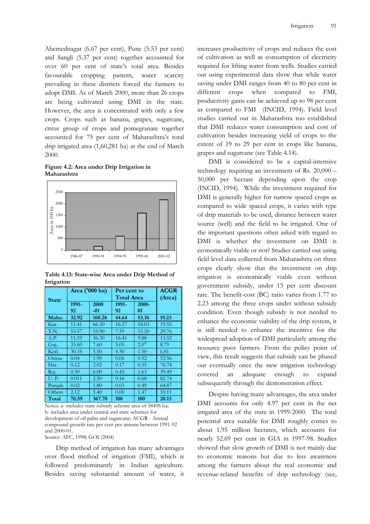Ahemednagar (6.67 per cent), Pune (5.53 per cent) and Sangli (5.37 per cent) together accounted for over 60 per cent of state's total area. Besides favourable cropping pattern, water scarcity prevailing in these districts forced the farmers to adopt DMI. As of March 2000, more than 26 crops are being cultivated using DMI in the state. However, the area is concentrated with only a few crops. Crops such as banana, grapes, sugarcane, citrus group of crops and pomegranate together accounted for 75 per cent of Maharashtra's total drip irrigated area (1,60,281 ha) at the end of March 2000.

**Figure 4.2: Area under Drip Irrigation in Maharashtra** 



**Table 4.13: State-wise Area under Drip Method of Irrigation** 

|              | Area ('000 ha) |        | Per cent to       | <b>ACGR</b> |                             |
|--------------|----------------|--------|-------------------|-------------|-----------------------------|
| <b>State</b> |                |        | <b>Total Area</b> | (Area)      |                             |
|              | 1991-          | 2000   | 1991-             | 2000-       |                             |
|              | 92             | -01    | 92                | 01          |                             |
| Maha.        | 32.92          | 160.28 | 44.64             | 53.16       | 19.23                       |
| Kar.         | 11.41          | 66.30  | 16.17             | 18.03       | 19.55                       |
| T.N.         | 53.57          | 55.90  | 7.59              | 15.20       | 29.76                       |
| A.P.         | 11.59          | 36.30  | 16.41             | 9.88        | 13.52                       |
| Guj.         | 35.60          | 7.60   | 5.05              | 2.07        | 8.79                        |
| Kerl.        | 30.35          | 5.50   | 4.30              | 1.50        | 6.81                        |
| Orissa       | 0.04           | 1.90   | 0.06              | 0.52        | 53.56                       |
| Har.         | 0.12           | 2.02   | 0.17              | 0.55        | 76.74                       |
| Raj.         | 0.30           | 6.00   | 0.43              | 1.63        | 39.49                       |
| <b>U.P.</b>  | 0.011          | 2.50   | 0.16              | 0.68        | 82.74                       |
| Punjab       | 0.02           | 1.80   | 0.03              | 0.49        | 64.87                       |
| Others       | 2.12           | 5.40   | 0.00              | 1.47        | 10.11                       |
| Total        | 70.59          | 367.70 | 100               | 100         | 20.13                       |
| $\sim$ $+$   |                |        |                   | $- - -$     | $\sim$ $\sim$ $\sim$ $\sim$ |

Notes: a- includes state subsidy scheme area of 58498 ha; b- includes area under central and state schemes for development of oil palm and sugarcane; ACGR - Annual compound growth rate per cent per annum between 1991-92 and 2000-01.

Source: AFC, 1998; GOI (2004)

Drip method of irrigation has many advantages over flood method of irrigation (FMI), which is followed predominantly in Indian agriculture. Besides saving substantial amount of water, it increases productivity of crops and reduces the cost of cultivation as well as consumption of electricity required for lifting water from wells. Studies carried out using experimental data show that while water saving under DMI ranges from 40 to 80 per cent in different crops when compared to FMI, productivity gains can be achieved up to 98 per cent as compared to FMI (INCID, 1994). Field level studies carried out in Maharashtra too established that DMI reduces water consumption and cost of cultivation besides increasing yield of crops to the extent of 19 to 29 per cent in crops like banana, grapes and sugarcane (see Table 4.14).

DMI is considered to be a capital-intensive technology requiring an investment of Rs. 20,000 – 50,000 per hectare depending upon the crop (INCID, 1994). While the investment required for DMI is generally higher for narrow spaced crops as compared to wide spaced crops, it varies with type of drip materials to be used, distance between water source (well) and the field to be irrigated. One of the important questions often asked with regard to DMI is whether the investment on DMI is economically viable or not? Studies carried out using field level data collected from Maharashtra on three crops clearly show that the investment on drip irrigation is economically viable even without government subsidy, under 15 per cent discount rate. The benefit-cost (BC) ratio varies from 1.77 to 2.23 among the three crops under without subsidy condition. Even though subsidy is not needed to enhance the economic viability of the drip system, it is still needed to enhance the incentive for the widespread adoption of DMI particularly among the resource poor farmers. From the policy point of view, this result suggests that subsidy can be phased out eventually once the new irrigation technology covered an adequate enough to expand subsequently through the demonstration effect.

Despite having many advantages, the area under DMI accounts for only 4.97 per cent in the net irrigated area of the state in 1999-2000. The total potential area suitable for DMI roughly comes to about 1.95 million hectares, which accounts for nearly 52.69 per cent in GIA in 1997-98. Studies showed that slow growth of DMI is not mainly due to economic reasons but due to less awareness among the farmers about the real economic and revenue-related benefits of drip technology (see,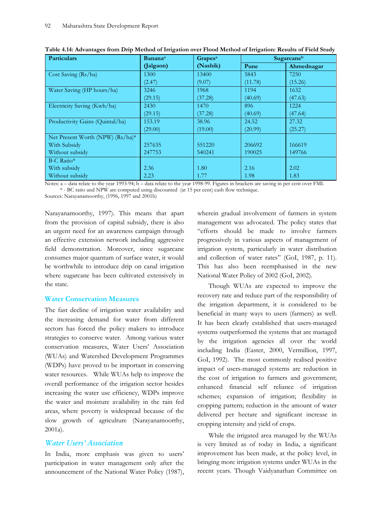| <b>Particulars</b>               | <b>Banana</b> <sup>a</sup> | <b>Grapes</b> <sup>a</sup> |         | Sugarcaneb |
|----------------------------------|----------------------------|----------------------------|---------|------------|
|                                  | (Jalgaon)                  | (Nashik)                   | Pune    | Ahmednagar |
| Cost Saving (Rs/ha)              | 1300                       | 13400                      | 5843    | 7250       |
|                                  | (2.47)                     | (9.07)                     | (11.78) | (15.26)    |
| Water Saving (HP hours/ha)       | 3246                       | 1968                       | 1194    | 1632       |
|                                  | (29.15)                    | (37.28)                    | (40.69) | (47.63)    |
| Electricity Saving (Kwh/ha)      | 2430                       | 1470                       | 896     | 1224       |
|                                  | (29.15)                    | (37.28)                    | (40.69) | (47.64)    |
| Productivity Gains (Quintal/ha)  | 153.19                     | 38.96                      | 24.52   | 27.32      |
|                                  | (29.00)                    | (19.00)                    | (20.99) | (25.27)    |
| Net Present Worth (NPW) (Rs/ha)* |                            |                            |         |            |
| With Subsidy                     | 257635                     | 551220                     | 206692  | 166619     |
| Without subsidy                  | 247753                     | 540241                     | 190025  | 149766     |
| B-C Ratio*                       |                            |                            |         |            |
| With subsidy                     | 2.36                       | 1.80                       | 2.16    | 2.02       |
| Without subsidy                  | 2.23                       | 1.77                       | 1.98    | 1.83       |

 **Table 4.14: Advantages from Drip Method of Irrigation over Flood Method of Irrigation: Results of Field Study** 

 Notes: a – data relate to the year 1993-94; b – data relate to the year 1998-99. Figures in brackets are saving in per cent over FMI. \* - BC ratio and NPW are computed using discounted (at 15 per cent) cash flow technique.

Sources: Narayanamoorthy, (1996, 1997 and 2001b)

Narayanamoorthy, 1997). This means that apart from the provision of capital subsidy, there is also an urgent need for an awareness campaign through an effective extension network including aggressive field demonstration. Moreover, since sugarcane consumes major quantum of surface water, it would be worthwhile to introduce drip on canal irrigation where sugarcane has been cultivated extensively in the state.

# **Water Conservation Measures**

The fast decline of irrigation water availability and the increasing demand for water from different sectors has forced the policy makers to introduce strategies to conserve water. Among various water conservation measures, Water Users' Association (WUAs) and Watershed Development Programmes (WDPs) have proved to be important in conserving water resources. While WUAs help to improve the overall performance of the irrigation sector besides increasing the water use efficiency, WDPs improve the water and moisture availability in the rain fed areas, where poverty is widespread because of the slow growth of agriculture (Narayanamoorthy, 2001a).

# *Water Users' Association*

In India, more emphasis was given to users' participation in water management only after the announcement of the National Water Policy (1987), wherein gradual involvement of farmers in system management was advocated. The policy states that "efforts should be made to involve farmers progressively in various aspects of management of irrigation system, particularly in water distribution and collection of water rates" (GoI, 1987, p. 11). This has also been reemphasised in the new National Water Policy of 2002 (GoI, 2002).

Though WUAs are expected to improve the recovery rate and reduce part of the responsibility of the irrigation department, it is considered to be beneficial in many ways to users (farmers) as well. It has been clearly established that users-managed systems outperformed the systems that are managed by the irrigation agencies all over the world including India (Easter, 2000, Vermillion, 1997, GoI, 1992). The most commonly realised positive impact of users-managed systems are reduction in the cost of irrigation to farmers and government; enhanced financial self reliance of irrigation schemes; expansion of irrigation; flexibility in cropping pattern; reduction in the amount of water delivered per hectare and significant increase in cropping intensity and yield of crops.

While the irrigated area managed by the WUAs is very limited as of today in India, a significant improvement has been made, at the policy level, in bringing more irrigation systems under WUAs in the recent years. Though Vaidyanathan Committee on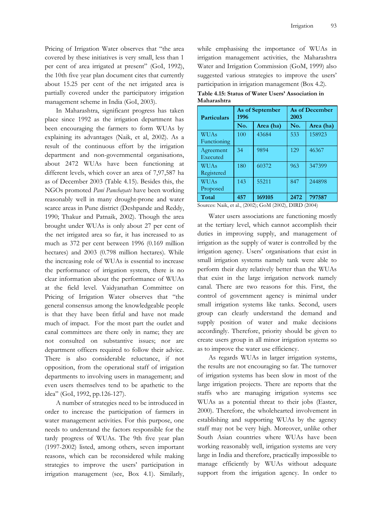Pricing of Irrigation Water observes that "the area covered by these initiatives is very small, less than 1 per cent of area irrigated at present" (GoI, 1992), the 10th five year plan document cites that currently about 15.25 per cent of the net irrigated area is partially covered under the participatory irrigation management scheme in India (GoI, 2003).

In Maharashtra, significant progress has taken place since 1992 as the irrigation department has been encouraging the farmers to form WUAs by explaining its advantages (Naik, et al, 2002). As a result of the continuous effort by the irrigation department and non-governmental organisations, about 2472 WUAs have been functioning at different levels, which cover an area of 7,97,587 ha as of December 2003 (Table 4.15). Besides this, the NGOs promoted *Pani Panchayats* have been working reasonably well in many drought-prone and water scarce areas in Pune district (Deshpande and Reddy, 1990; Thakur and Patnaik, 2002). Though the area brought under WUAs is only about 27 per cent of the net irrigated area so far, it has increased to as much as 372 per cent between 1996 (0.169 million hectares) and 2003 (0.798 million hectares). While the increasing role of WUAs is essential to increase the performance of irrigation system, there is no clear information about the performance of WUAs at the field level. Vaidyanathan Committee on Pricing of Irrigation Water observes that "the general consensus among the knowledgeable people is that they have been fitful and have not made much of impact. For the most part the outlet and canal committees are there only in name; they are not consulted on substantive issues; nor are department officers required to follow their advice. There is also considerable reluctance, if not opposition, from the operational staff of irrigation departments to involving users in management; and even users themselves tend to be apathetic to the idea" (GoI, 1992, pp.126-127).

A number of strategies need to be introduced in order to increase the participation of farmers in water management activities. For this purpose, one needs to understand the factors responsible for the tardy progress of WUAs. The 9th five year plan (1997-2002) listed, among others, seven important reasons, which can be reconsidered while making strategies to improve the users' participation in irrigation management (see, Box 4.1). Similarly,

while emphasising the importance of WUAs in irrigation management activities, the Maharashtra Water and Irrigation Commission (GoM, 1999) also suggested various strategies to improve the users' participation in irrigation management (Box 4.2).

**Table 4.15: Status of Water Users' Association in Maharashtra** 

| <b>Particulars</b>         | 1996             | As of September | As of December<br>2003 |           |  |
|----------------------------|------------------|-----------------|------------------------|-----------|--|
|                            | No.<br>Area (ha) |                 | No.                    | Area (ha) |  |
| <b>WUAs</b><br>Functioning | 100              | 43684           | 533                    | 158923    |  |
| Agreement<br>Executed      | 34               | 9894            | 129                    | 46367     |  |
| <b>WUAs</b><br>Registered  | 180              | 60372           | 963                    | 347399    |  |
| <b>WUAs</b><br>Proposed    | 143              | 55211           | 847                    | 244898    |  |
| Total                      | 457              | 169105          | 2472                   | 797587    |  |

Sources: Naik, et al., (2002); GoM (2002), DIRD (2004)

Water users associations are functioning mostly at the tertiary level, which cannot accomplish their duties in improving supply, and management of irrigation as the supply of water is controlled by the irrigation agency. Users' organisations that exist in small irrigation systems namely tank were able to perform their duty relatively better than the WUAs that exist in the large irrigation network namely canal. There are two reasons for this. First, the control of government agency is minimal under small irrigation systems like tanks. Second, users group can clearly understand the demand and supply position of water and make decisions accordingly. Therefore, priority should be given to create users group in all minor irrigation systems so as to improve the water use efficiency.

As regards WUAs in larger irrigation systems, the results are not encouraging so far. The turnover of irrigation systems has been slow in most of the large irrigation projects. There are reports that the staffs who are managing irrigation systems see WUAs as a potential threat to their jobs (Easter, 2000). Therefore, the wholehearted involvement in establishing and supporting WUAs by the agency staff may not be very high. Moreover, unlike other South Asian countries where WUAs have been working reasonably well, irrigation systems are very large in India and therefore, practically impossible to manage efficiently by WUAs without adequate support from the irrigation agency. In order to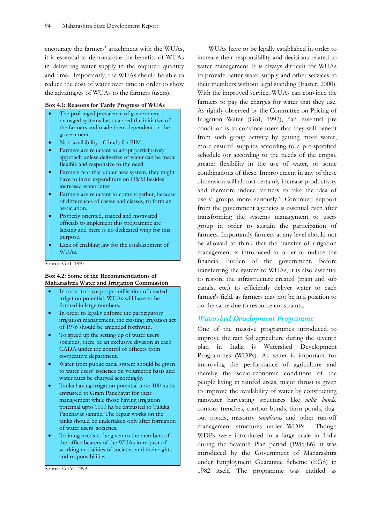encourage the farmers' attachment with the WUAs, it is essential to demonstrate the benefits of WUAs in delivering water supply in the required quantity and time. Importantly, the WUAs should be able to reduce the cost of water over time in order to show the advantages of WUAs to the farmers (users).

### **Box 4.1: Reasons for Tardy Progress of WUAs**

- The prolonged prevalence of governmentmanaged systems has snapped the initiative of the farmers and made them dependent on the government.
- Non-availability of funds for PIM.
- Farmers are reluctant to adopt participatory approach unless deliveries of water can be made flexible and responsive to the need.
- Farmers fear that under new system, they might have to incur expenditure on O&M besides increased water rates.
- Farmers are reluctant to come together, because of differences of castes and classes, to form an association.
- Properly oriented, trained and motivated officials to implement this programme are lacking and there is no dedicated wing for this purpose.
- Lack of enabling law for the establishment of WUAs.

Source: GoI, 1997

### **Box 4.2: Some of the Recommendations of Maharashtra Water and Irrigation Commission**

- In order to have proper utilisation of created irrigation potential, WUAs will have to be formed in large numbers.
- In order to legally enforce the participatory irrigation management, the existing irrigation act of 1976 should be amended forthwith.
- To speed up the setting up of water users' societies, there be an exclusive division in each CADA under the control of officers from cooperative department.
- Water from public canal system should be given to water users' societies on volumetric basis and water rates be charged accordingly.
- Tanks having irrigation potential upto 100 ha be entrusted to Gram Panchayat for their management while those having irrigation potential upto 1000 ha be entrusted to Taluka Panchayat samitie. The repair works on the tanks should be undertaken only after formation of water users' societies.
- Training needs to be given to the members of the office bearers of the WUAs in respect of working modalities of societies and their rights and responsibilities.

Source: GoM, 1999

WUAs have to be legally established in order to increase their responsibility and decisions related to water management. It is always difficult for WUAs to provide better water supply and other services to their members without legal standing (Easter, 2000). With the improved service, WUAs can convince the farmers to pay the charges for water that they use. As rightly observed by the Committee on Pricing of Irrigation Water (GoI, 1992), "an essential pre condition is to convince users that they will benefit from such group activity by getting more water, more assured supplies according to a pre-specified schedule (or according to the needs of the crops), greater flexibility in the use of water, or some combinations of these. Improvement in any of these dimension will almost certainly increase productivity and therefore induce farmers to take the idea of users' groups more seriously." Continued support from the government agencies is essential even after transforming the systems management to users group in order to sustain the participation of farmers. Importantly farmers at any level should not be allowed to think that the transfer of irrigation management is introduced in order to reduce the financial burden of the government. Before transferring the system to WUAs, it is also essential to restore the infrastructure created (main and sub canals, etc.) to efficiently deliver water to each farmer's field, as farmers may not be in a position to do the same due to resource constraints.

## *Watershed Development Programme*

One of the massive programmes introduced to improve the rain fed agriculture during the seventh plan in India is Watershed Development Programmes (WDPs). As water is important for improving the performance of agriculture and thereby the socio-economic conditions of the people living in rainfed areas, major thrust is given to improve the availability of water by constructing rainwater harvesting structures like *nalla bunds*, contour trenches, contour bunds, farm ponds, dugout ponds, masonry *bandharas* and other run-off management structures under WDPs. Though WDPs were introduced in a large scale in India during the Seventh Plan period (1985-86), it was introduced by the Government of Maharashtra under Employment Guarantee Scheme (EGS) in 1982 itself. The programme was entitled as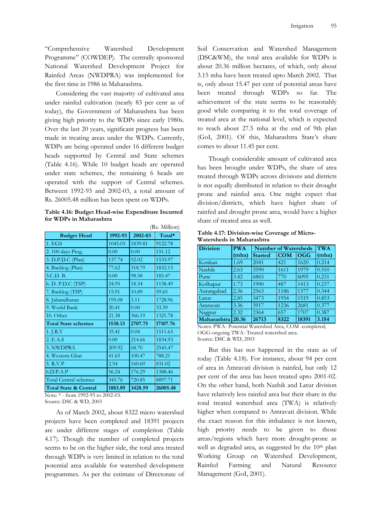"Comprehensive Watershed Development Programme" (COWDEP). The centrally sponsored National Watershed Development Project for Rainfed Areas (NWDPRA) was implemented for the first time in 1986 in Maharashtra.

Considering the vast majority of cultivated area under rainfed cultivation (nearly 83 per cent as of today), the Government of Maharashtra has been giving high priority to the WDPs since early 1980s. Over the last 20 years, significant progress has been made in treating areas under the WDPs. Currently, WDPs are being operated under 16 different budget heads supported by Central and State schemes (Table 4.16). While 10 budget heads are operated under state schemes, the remaining 6 heads are operated with the support of Central schemes. Between 1992-93 and 2002-03, a total amount of Rs. 26005.48 million has been spent on WDPs.

**Table 4.16: Budget Head-wise Expenditure Incurred for WDPs in Maharashtra** 

 $\mathbb{R}$  matrix  $\mathbb{R}$ 

|                                  |         |         | (Ks. Million) |
|----------------------------------|---------|---------|---------------|
| <b>Budget Head</b>               | 1992-93 | 2002-03 | Total*        |
| 1.EGS                            | 1045.05 | 1839.81 | 9122.78       |
| 2. 100 days Prog.                | 0.00    | 0.00    | 151.12        |
| 3. D.P.D.C (Plan)                | 137.74  | 52.02   | 1533.97       |
| 4. Backlog (Plan)                | 77.62   | 318.79  | 1832.15       |
| 5.C.D. B.                        | 0.00    | 98.58   | 185.47        |
| 6. D. P.D.C (TSP)                | 24.95   | 18.34   | 1138.49       |
| 7. Backlog (TSP)                 | 15.91   | 10.89   | 59.65         |
| 8. Jalsandharan                  | 195.08  | 3.11    | 1728.96       |
| 9. World Bank                    | 20.41   | 0.00    | 33.39         |
| 10. Other                        | 21.38   | 366.19  | 1321.78       |
| <b>Total State schemes</b>       | 1538.13 | 2707.75 | 17107.76      |
| 1. J.R.Y                         | 35.41   | 0.04    | 1511.63       |
| 2. E.A.S                         | 0.00    | 214.66  | 1834.93       |
| 3. NWDPRA                        | 209.92  | 68.70   | 2543.47       |
| 4. Western Ghat                  | 41.65   | 100.47  | 788.21        |
| 5. R.V.P                         | 2.54    | 160.69  | 831.02        |
| 6.D.P.A.P                        | 56.24   | 176.29  | 1388.46       |
| <b>Total Central schemes</b>     | 345.76  | 720.85  | 8897.71       |
| <b>Total State &amp; Central</b> | 1883.89 | 3428.59 | 26005.48      |

Note: \* - from 1992-93 to 2002-03. Source: DSC & WD, 2003

As of March 2002, about 8322 micro watershed projects have been completed and 18391 projects are under different stages of completion (Table 4.17). Though the number of completed projects seems to be on the higher side, the total area treated through WDPs is very limited in relation to the total potential area available for watershed development programmes. As per the estimate of Directorate of

Soil Conservation and Watershed Management (DSC&WM), the total area available for WDPs is about 20.36 million hectares, of which, only about 3.15 mha have been treated upto March 2002. That is, only about 15.47 per cent of potential areas have been treated through WDPs so far. The achievement of the state seems to be reasonably good while comparing it to the total coverage of treated area at the national level, which is expected to reach about 27.5 mha at the end of 9th plan (GoI, 2001). Of this, Maharashtra State's share comes to about 11.45 per cent.

Though considerable amount of cultivated area has been brought under WDPs, the share of area treated through WDPs across divisions and districts is not equally distributed in relation to their drought prone and rainfed area. One might expect that division/districts, which have higher share of rainfed and drought prone area, would have a higher share of treated area as well.

**Table 4.17: Division-wise Coverage of Micro-Watersheds in Maharashtra** 

| <b>Division</b> | <b>PWA</b> |                | <b>Number of Watersheds</b> |            |       |  |  |  |
|-----------------|------------|----------------|-----------------------------|------------|-------|--|--|--|
|                 | (mha)      | <b>Started</b> | <b>COM</b>                  | <b>OGG</b> | (mha) |  |  |  |
| Konkan          | 1.69       | 2041           | 421                         | 1620       | 0.214 |  |  |  |
| Nashik          | 2.63       | 3590           | 1611                        | 1979       | 0.510 |  |  |  |
| Pune            | 3.42       | 6865           | 770                         | 6095       | 0.231 |  |  |  |
| Kolhapur        | 1.73       | 1900           | 487                         | 1413       | 0.237 |  |  |  |
| Aurangabad      | 2.36       | 2563           | 1186                        | 1377       | 0.344 |  |  |  |
| Latur           | 2.85       | 3473           | 1954                        | 1519       | 0.853 |  |  |  |
| Amravati        | 3.36       | 3917           | 1236                        | 2681       | 0.377 |  |  |  |
| Nagpur          | 2.32       | 2364           | 657                         | 1707       | 0.387 |  |  |  |
| Maharashtra     | 20.36      | 26713          | 8322                        | 18391      | 3.154 |  |  |  |

Notes: PWA- Potential Watershed Area, COM -completed; OGG-ongoing TWA- Treated watershed area. Source: DSC & WD, 2003

But this has not happened in the state as of today (Table 4.18). For instance, about 94 per cent of area in Amravati division is rainfed, but only 12 per cent of the area has been treated upto 2001-02. On the other hand, both Nashik and Latur division have relatively less rainfed area but their share in the total treated watershed area (TWA) is relatively higher when compared to Amravati division. While the exact reason for this imbalance is not known, high priority needs to be given to those areas/regions which have more drought-prone as well as degraded area, as suggested by the 10<sup>th</sup> plan Working Group on Watershed Development, Rainfed Farming and Natural Resource Management (GoI, 2001).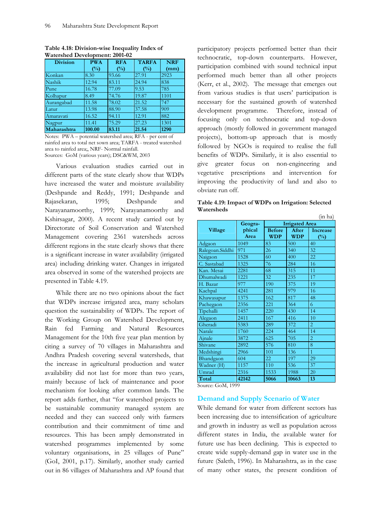| <b>Division</b> | <b>PWA</b> | <b>RFA</b> |        | <b>NRF</b> |
|-----------------|------------|------------|--------|------------|
|                 | $(\%)$     | $(\%)$     | $(\%)$ | (mm)       |
| Konkan          | 8.30       | 93.66      | 27.91  | 2923       |
| Nashik          | 12.94      | 83.11      | 24.94  | 838        |
| Pune            | 16.78      | 77.09      | 9.53   | 785        |
| Kolhapur        | 8.49       | 74.76      | 19.87  | 1101       |
| Aurangabad      | 11.58      | 78.02      | 21.52  | 747        |
| Latur           | 13.98      | 88.90      | 37.58  | 909        |
| Amaravati       | 16.52      | 94.11      | 12.91  | 882        |
| Nagpur          | 11.41      | 75.29      | 27.23  | 1301       |
| Maharashtra     | 100.00     | 83.11      | 21.54  | 1290       |

**Table 4.18: Division-wise Inequality Index of Watershed Development: 2001-02** 

Notes: PWA – potential watershed area; RFA - per cent of rainfed area to total net sown area; TARFA - treated watershed area to rainfed area;, NRF- Normal rainfall. Sources: GoM (various years); DSC&WM, 2003

Various evaluation studies carried out in different parts of the state clearly show that WDPs have increased the water and moisture availability (Deshpande and Reddy, 1991; Deshpande and Rajasekaran, 1995; Deshpande and Narayanamoorthy, 1999; Narayanamoorthy and Kshirsagar, 2000). A recent study carried out by Directorate of Soil Conservation and Watershed Management covering 2361 watersheds across different regions in the state clearly shows that there is a significant increase in water availability (irrigated area) including drinking water. Changes in irrigated area observed in some of the watershed projects are presented in Table 4.19.

While there are no two opinions about the fact that WDPs increase irrigated area, many scholars question the sustainability of WDPs. The report of the Working Group on Watershed Development, Rain fed Farming and Natural Resources Management for the 10th five year plan mention by citing a survey of 70 villages in Maharashtra and Andhra Pradesh covering several watersheds, that the increase in agricultural production and water availability did not last for more than two years, mainly because of lack of maintenance and poor mechanism for looking after common lands. The report adds further, that "for watershed projects to be sustainable community managed system are needed and they can succeed only with farmers contribution and their commitment of time and resources. This has been amply demonstrated in watershed programmes implemented by some voluntary organisations, in 25 villages of Pune" (GoI, 2001, p.17). Similarly, another study carried out in 86 villages of Maharashtra and AP found that participatory projects performed better than their technocratic, top-down counterparts. However, participation combined with sound technical input performed much better than all other projects (Kerr, et al., 2002). The message that emerges out from various studies is that users' participation is necessary for the sustained growth of watershed development programme. Therefore, instead of focusing only on technocratic and top-down approach (mostly followed in government managed projects), bottom-up approach that is mostly followed by NGOs is required to realise the full benefits of WDPs. Similarly, it is also essential to give greater focus on non-engineering and vegetative prescriptions and intervention for improving the productivity of land and also to obviate run off.

**Table 4.19: Impact of WDPs on Irrigation: Selected Watersheds** 

|                 |                                  |               |            | (in ha)         |
|-----------------|----------------------------------|---------------|------------|-----------------|
|                 | <b>Irrigated Area</b><br>Geogra- |               |            |                 |
| Village         | phical                           | <b>Before</b> | After      | <b>Increase</b> |
|                 | Area                             | <b>WDP</b>    | <b>WDP</b> | $(\%)$          |
| Adgaon          | 1049                             | 83            | 500        | 40              |
| Ralegoan.Siddhi | 971                              | 26            | 340        | 32              |
| Naigaon         | 1528                             | 60            | 400        | 22              |
| C. Sastabad     | 1325                             | 76            | 284        | 16              |
| Kan. Mesai      | 2281                             | 68            | 315        | 11              |
| Dhumalwadi      | 1221                             | 32            | 235        | 17              |
| H. Bazar        | 977                              | 190           | 375        | 19              |
| Kachpal         | 4241                             | 281           | 979        | 16              |
| Khawasapur      | 1375                             | 162           | 817        | 48              |
| Pachegaon       | 2356                             | 221           | 364        | 6               |
| Tipehalli       | 1457                             | 220           | 430        | 14              |
| Alegaon         | 2411                             | 167           | 416        | 10              |
| Gheradi         | 5383                             | 289           | 372        | $\overline{2}$  |
| Narale          | 1760                             | 224           | 464        | 14              |
| Ajnale          | 3872                             | 625           | 705        | 2               |
| Shivane         | 2892                             | 576           | 810        | 8               |
| Medshingi       | 2966                             | 101           | 136        | $\mathbf{1}$    |
| Bhandgaon       | 604                              | 22            | 197        | 29              |
| Wadner (H)      | 1157                             | 110           | 536        | 37              |
| Umrad           | 2316                             | 1533          | 1988       | 20              |
| Total           | 42142                            | 5066          | 10663      | 13              |

Source: GoM, 1999

## **Demand and Supply Scenario of Water**

While demand for water from different sectors has been increasing due to intensification of agriculture and growth in industry as well as population across different states in India, the available water for future use has been declining. This is expected to create wide supply-demand gap in water use in the future (Saleth, 1996). In Maharashtra, as in the case of many other states, the present condition of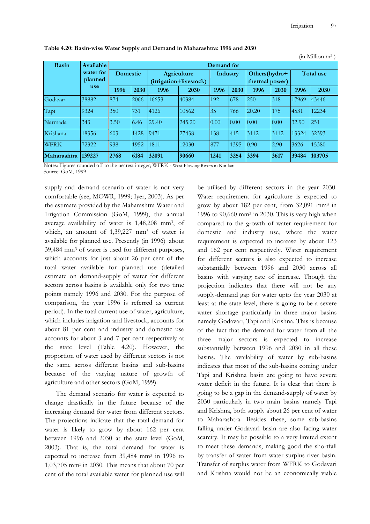|              |            |                 |            |                        |             |          |      |                |      |       | (in Million $m^3$ ) |  |
|--------------|------------|-----------------|------------|------------------------|-------------|----------|------|----------------|------|-------|---------------------|--|
| <b>Basin</b> | Available  |                 | Demand for |                        |             |          |      |                |      |       |                     |  |
|              | water for  | <b>Domestic</b> |            |                        | Agriculture | Industry |      | Others(hydro+  |      |       | <b>Total use</b>    |  |
|              | planned    |                 |            | (irrigation+livestock) |             |          |      | thermal power) |      |       |                     |  |
|              | <b>use</b> | 1996            | 2030       | 1996                   | 2030        | 1996     | 2030 | 1996           | 2030 | 1996  | 2030                |  |
| Godavari     | 38882      | 874             | 2066       | 16653                  | 40384       | 192      | 678  | 250            | 318  | 17969 | 43446               |  |
| Tapi         | 9324       | 350             | 731        | 4126                   | 10562       | 35       | 766  | 20.20          | 175  | 4531  | 12234               |  |
| Narmada      | 343        | 3.50            | 6.46       | 29.40                  | 245.20      | 0.00     | 0.00 | 0.00           | 0.00 | 32.90 | 251                 |  |
| Krishana     | 18356      | 603             | 1428       | 9471                   | 27438       | 138      | 415  | 3112           | 3112 | 13324 | 32393               |  |
| <b>WFRK</b>  | 72322      | 938             | 1952       | 1811                   | 12030       | 877      | 1395 | 0.90           | 2.90 | 3626  | 15380               |  |
| Maharashtra  | 139227     | 2768            | 6184       | 32091                  | 90660       | 1241     | 3254 | 3394           | 3617 | 39484 | 103705              |  |

 **Table 4.20: Basin-wise Water Supply and Demand in Maharashtra: 1996 and 2030**

 Notes: Figures rounded off to the nearest integer; WFRK - West Flowing Rivers in Konkan Source: GoM, 1999

supply and demand scenario of water is not very comfortable (see, MOWR, 1999; Iyer, 2003). As per the estimate provided by the Maharashtra Water and Irrigation Commission (GoM, 1999), the annual average availability of water is 1,48,208 mm3, of which, an amount of 1,39,227 mm<sup>3</sup> of water is available for planned use. Presently (in 1996) about 39,484 mm3 of water is used for different purposes, which accounts for just about 26 per cent of the total water available for planned use (detailed estimate on demand-supply of water for different sectors across basins is available only for two time points namely 1996 and 2030. For the purpose of comparison, the year 1996 is referred as current period). In the total current use of water, agriculture, which includes irrigation and livestock, accounts for about 81 per cent and industry and domestic use accounts for about 3 and 7 per cent respectively at the state level (Table 4.20). However, the proportion of water used by different sectors is not the same across different basins and sub-basins because of the varying nature of growth of agriculture and other sectors (GoM, 1999).

The demand scenario for water is expected to change drastically in the future because of the increasing demand for water from different sectors. The projections indicate that the total demand for water is likely to grow by about 162 per cent between 1996 and 2030 at the state level (GoM, 2003). That is, the total demand for water is expected to increase from 39,484 mm3 in 1996 to 1,03,705 mm3 in 2030. This means that about 70 per cent of the total available water for planned use will

be utilised by different sectors in the year 2030. Water requirement for agriculture is expected to grow by about 182 per cent, from 32,091 mm3 in 1996 to 90,660 mm3 in 2030. This is very high when compared to the growth of water requirement for domestic and industry use, where the water requirement is expected to increase by about 123 and 162 per cent respectively. Water requirement for different sectors is also expected to increase substantially between 1996 and 2030 across all basins with varying rate of increase. Though the projection indicates that there will not be any supply-demand gap for water upto the year 2030 at least at the state level, there is going to be a severe water shortage particularly in three major basins namely Godavari, Tapi and Krishna. This is because of the fact that the demand for water from all the three major sectors is expected to increase substantially between 1996 and 2030 in all these basins. The availability of water by sub-basins indicates that most of the sub-basins coming under Tapi and Krishna basin are going to have severe water deficit in the future. It is clear that there is going to be a gap in the demand-supply of water by 2030 particularly in two main basins namely Tapi and Krishna, both supply about 26 per cent of water to Maharashtra. Besides these, some sub-basins falling under Godavari basin are also facing water scarcity. It may be possible to a very limited extent to meet these demands, making good the shortfall by transfer of water from water surplus river basin. Transfer of surplus water from WFRK to Godavari and Krishna would not be an economically viable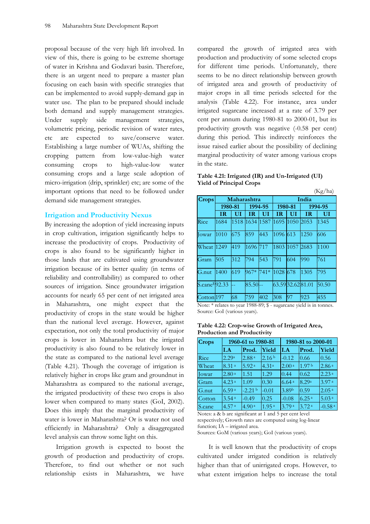proposal because of the very high lift involved. In view of this, there is going to be extreme shortage of water in Krishna and Godavari basin. Therefore, there is an urgent need to prepare a master plan focusing on each basin with specific strategies that can be implemented to avoid supply-demand gap in water use. The plan to be prepared should include both demand and supply management strategies. Under supply side management strategies, volumetric pricing, periodic revision of water rates, etc are expected to save/conserve water. Establishing a large number of WUAs, shifting the cropping pattern from low-value-high water consuming crops to high-value-low water consuming crops and a large scale adoption of micro-irrigation (drip, sprinkler) etc; are some of the important options that need to be followed under demand side management strategies.

## **Irrigation and Productivity Nexus**

By increasing the adoption of yield increasing inputs in crop cultivation, irrigation significantly helps to increase the productivity of crops. Productivity of crops is also found to be significantly higher in those lands that are cultivated using groundwater irrigation because of its better quality (in terms of reliability and controllability) as compared to other sources of irrigation. Since groundwater irrigation accounts for nearly 65 per cent of net irrigated area in Maharashtra, one might expect that the productivity of crops in the state would be higher than the national level average. However, against expectation, not only the total productivity of major crops is lower in Maharashtra but the irrigated productivity is also found to be relatively lower in the state as compared to the national level average (Table 4.21). Though the coverage of irrigation is relatively higher in crops like gram and groundnut in Maharashtra as compared to the national average, the irrigated productivity of these two crops is also lower when compared to many states (GoI, 2002). Does this imply that the marginal productivity of water is lower in Maharashtra? Or is water not used efficiently in Maharashtra? Only a disaggregated level analysis can throw some light on this.

Irrigation growth is expected to boost the growth of production and productivity of crops. Therefore, to find out whether or not such relationship exists in Maharashtra, we have compared the growth of irrigated area with production and productivity of some selected crops for different time periods. Unfortunately, there seems to be no direct relationship between growth of irrigated area and growth of productivity of major crops in all time periods selected for the analysis (Table 4.22). For instance, area under irrigated sugarcane increased at a rate of 3.79 per cent per annum during 1980-81 to 2000-01, but its productivity growth was negative (-0.58 per cent) during this period. This indirectly reinforces the issue raised earlier about the possibility of declining marginal productivity of water among various crops in the state.

| Table 4.21: Irrigated (IR) and Un-Irrigated (UI) |  |
|--------------------------------------------------|--|
| <b>Yield of Principal Crops</b>                  |  |

|                            |         |             |        |         |      |                 |       | (Kg/ha) |
|----------------------------|---------|-------------|--------|---------|------|-----------------|-------|---------|
| <b>Crops</b>               |         | Maharashtra |        |         |      |                 | India |         |
|                            | 1980-81 |             |        | 1994-95 |      | 1980-81         |       | 1994-95 |
|                            | ΙR      | UІ          | ΙR     | UI      | ΙR   | UП              | ΙR    | UI      |
| Rice                       | 1684    | 1518        | 1634   | 1587    | 1695 | 1050            | 2053  | 1345    |
| Jowar                      | 1010    | 675         | 859    | 443     | 1096 | 613             | 1250  | 606     |
| Wheat                      | 1249    | 419         | 1696   | 717     | 1803 | 1057            | 2683  | 1100    |
| Gram                       | 505     | 312         | 794    | 543     | 791  | 604             | 1990  | 761     |
| G.nut                      | 1400    | 619         | $967*$ | 741*    | 1028 | 678             | 1305  | 795     |
| S.cane <sup>\$</sup> 92.33 |         |             | 85.50  |         |      | 63.5932.6281.01 |       | 50.50   |
| Cotton <sup>197</sup>      |         | 68          | 759    | 402     | 308  | 97              | 923   | 455     |

Note: \* relates to year 1988-89; \$ - sugarcane yield is in tonnes. Source: GoI (various years).

| Table 4.22: Crop-wise Growth of Irrigated Area, |
|-------------------------------------------------|
| <b>Production and Productivity</b>              |

| <b>Crops</b> |                   | 1960-61 to 1980-81 |                   |                   | 1980-81 to 2000-01 |                      |  |
|--------------|-------------------|--------------------|-------------------|-------------------|--------------------|----------------------|--|
|              | I.A               | Prod.              | Yield             | $\mathbf{I.A}$    | Prod.              | Yield                |  |
| Rice         | 2.29a             | 2.88 <sup>a</sup>  | 2.16 <sup>b</sup> | $-0.12$           | 0.66               | 0.56                 |  |
| Wheat        | 8.31 <sup>a</sup> | 5.92 <sup>a</sup>  | 4.31 <sup>a</sup> | 2.00 <sup>a</sup> | 1.97 <sup>b</sup>  | 2.86 <sup>a</sup>    |  |
| Jowar        | 2.80 <sup>a</sup> | 1.51               | 1.29              | 0.44              | 0.62               | 2.23 <sup>a</sup>    |  |
| Gram         | 4.23 <sup>a</sup> | 1.09               | 0.30              | 6.64 <sup>a</sup> | 8.29 <sup>a</sup>  | 3.97 <sup>a</sup>    |  |
| G.nut        | 6.59a             | $-2.21b$           | $-0.01$           | 3.89b             | 0.59               | 2.05 <sup>a</sup>    |  |
| Cotton       | 3.54 <sup>a</sup> | $-0.49$            | 0.25              | $-0.08$           | 6.25a              | 5.03 <sup>a</sup>    |  |
| S.cane       | 4.57 <sup>a</sup> | 4.90 <sup>a</sup>  | 1.95 <sup>a</sup> | 3.79a             | 3.72 <sup>a</sup>  | $-0.58$ <sup>a</sup> |  |

Notes: a & b are significant at 1 and 5 per cent level respectively; Growth rates are computed using log-linear function; IA – irrigated area.

Sources: GoM (various years); GoI (various years).

It is well known that the productivity of crops cultivated under irrigated condition is relatively higher than that of unirrigated crops. However, to what extent irrigation helps to increase the total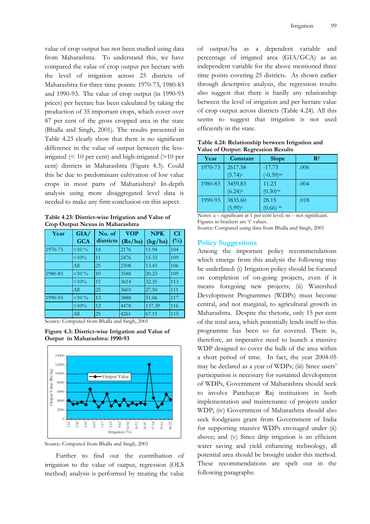value of crop output has not been studied using data from Maharashtra. To understand this, we have compared the value of crop output per hectare with the level of irrigation across 25 districts of Maharashtra for three time points: 1970-73, 1980-83 and 1990-93. The value of crop output (in 1990-93 prices) per hectare has been calculated by taking the production of 35 important crops, which cover over 87 per cent of the gross cropped area in the state (Bhalla and Singh, 2001). The results presented in Table 4.23 clearly show that there is no significant difference in the value of output between the lessirrigated (< 10 per cent) and high-irrigated (>10 per cent) districts in Maharashtra (Figure 4.3). Could this be due to predominant cultivation of low value crops in most parts of Maharashtra? In-depth analysis using more disaggregated level data is needed to make any firm conclusion on this aspect.

**Table 4.23: District-wise Irrigation and Value of Crop Output Nexus in Maharashtra** 

| Year    | GIA/       | No. of    | <b>VOP</b> | <b>NPK</b> | CI           |
|---------|------------|-----------|------------|------------|--------------|
|         | <b>GCA</b> | districts | (Rs/ha)    | (kg/ha)    | $(^{0}_{0})$ |
| 1970-73 | $<$ 10 %   | 14        | 2176       | 11.94      | 104          |
|         | $>10\%$    | 11        | 2476       | 15.33      | 109          |
|         | All        | 25        | 2308       | 13.43      | 106          |
| 1980-83 | $<$ 10 %   | 10        | 3588       | 20.23      | 109          |
|         | $>10\%$    | 15        | 3614       | 32.35      | 113          |
|         | All        | 25        | 3603       | 27.50      | 111          |
| 1990-93 | $<$ 10 %   | 13        | 3888       | 51.06      | 117          |
|         | $>10\%$    | 12        | 4478       | 137.39     | 116          |
|         | All        | 25        | 4261       | 67.15      | 115          |

Source: Computed from Bhalla and Singh, 2001

**Figure 4.3: District-wise Irrigation and Value of Output in Maharashtra: 1990-93** 



Source: Computed from Bhalla and Singh, 2001

Further to find out the contribution of irrigation to the value of output, regression (OLS method) analysis is performed by treating the value

of output/ha as a dependent variable and percentage of irrigated area (GIA/GCA) as an independent variable for the above mentioned three time points covering 25 districts. As shown earlier through descriptive analysis, the regression results also suggest that there is hardly any relationship between the level of irrigation and per hectare value of crop output across districts (Table 4.24). All this seems to suggest that irrigation is not used efficiently in the state.

**Table 4.24: Relationship between Irrigation and Value of Output: Regression Results** 

| Year    | Constant              | <b>Slope</b>            | $\mathbf{R}^2$ |
|---------|-----------------------|-------------------------|----------------|
| 1970-73 | 2617.58               | $-17.73$                | .006           |
|         | $(5.74)^a$            | $(-0.39)$ <sup>ns</sup> |                |
| 1980-83 | 3459.83               | 11.23                   | .004           |
|         | $(6.24)$ <sup>a</sup> | $(0.30)$ <sup>ns</sup>  |                |
| 1990-93 | 3835.60               | 28.15                   | .018           |
|         | $(5.99)^{a}$          | ns<br>(0.66             |                |

Notes: a – significant at 1 per cent level; ns – not significant. Figures in brackets are 't' values.

Source: Computed using data from Bhalla and Singh, 2001

### **Policy Suggestions**

Among the important policy recommendations which emerge from this analysis the following may be underlined: (i) Irrigation policy should be focused on completion of on-going projects, even if it means foregoing new projects; (ii) Watershed Development Programmes (WDPs) must become central, and not marginal, to agricultural growth in Maharashtra. Despite the rhetoric, only 15 per cent of the total area, which potentially lends itself to this programme has been so far covered. There is, therefore, an imperative need to launch a massive WDP designed to cover the bulk of the area within a short period of time. In fact, the year 2004-05 may be declared as a year of WDPs; (iii) Since users' participation is necessary for sustained development of WDPs, Government of Maharashtra should seek to involve Panchayat Raj institutions in both implementation and maintenance of projects under WDP; (iv) Government of Maharashtra should also seek foodgrains grant from Government of India for supporting massive WDPs envisaged under (ii) above; and (v) Since drip irrigation is an efficient water saving and yield enhancing technology, all potential area should be brought under this method. These recommendations are spelt out in the following paragraphs: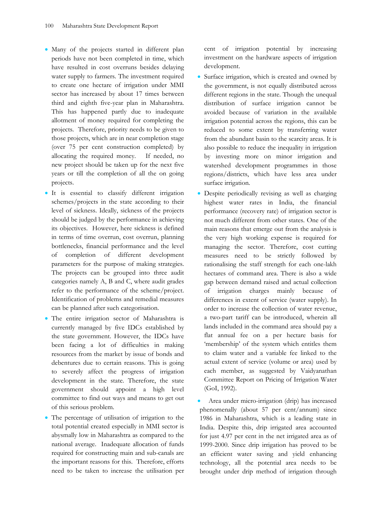- Many of the projects started in different plan periods have not been completed in time, which have resulted in cost overruns besides delaying water supply to farmers. The investment required to create one hectare of irrigation under MMI sector has increased by about 17 times between third and eighth five-year plan in Maharashtra. This has happened partly due to inadequate allotment of money required for completing the projects. Therefore, priority needs to be given to those projects, which are in near completion stage (over 75 per cent construction completed) by allocating the required money. If needed, no new project should be taken up for the next five years or till the completion of all the on going projects.
- It is essential to classify different irrigation schemes/projects in the state according to their level of sickness. Ideally, sickness of the projects should be judged by the performance in achieving its objectives. However, here sickness is defined in terms of time overrun, cost overrun, planning bottlenecks, financial performance and the level of completion of different development parameters for the purpose of making strategies. The projects can be grouped into three audit categories namely A, B and C, where audit grades refer to the performance of the scheme/project. Identification of problems and remedial measures can be planned after such categorisation.
- The entire irrigation sector of Maharashtra is currently managed by five IDCs established by the state government. However, the IDCs have been facing a lot of difficulties in making resources from the market by issue of bonds and debentures due to certain reasons. This is going to severely affect the progress of irrigation development in the state. Therefore, the state government should appoint a high level committee to find out ways and means to get out of this serious problem.
- The percentage of utilisation of irrigation to the total potential created especially in MMI sector is abysmally low in Maharashtra as compared to the national average. Inadequate allocation of funds required for constructing main and sub-canals are the important reasons for this. Therefore, efforts need to be taken to increase the utilisation per

cent of irrigation potential by increasing investment on the hardware aspects of irrigation development.

- Surface irrigation, which is created and owned by the government, is not equally distributed across different regions in the state. Though the unequal distribution of surface irrigation cannot be avoided because of variation in the available irrigation potential across the regions, this can be reduced to some extent by transferring water from the abundant basin to the scarcity areas. It is also possible to reduce the inequality in irrigation by investing more on minor irrigation and watershed development programmes in those regions/districts, which have less area under surface irrigation.
- Despite periodically revising as well as charging highest water rates in India, the financial performance (recovery rate) of irrigation sector is not much different from other states. One of the main reasons that emerge out from the analysis is the very high working expense is required for managing the sector. Therefore, cost cutting measures need to be strictly followed by rationalising the staff strength for each one-lakh hectares of command area. There is also a wide gap between demand raised and actual collection of irrigation charges mainly because of differences in extent of service (water supply). In order to increase the collection of water revenue, a two-part tariff can be introduced, wherein all lands included in the command area should pay a flat annual fee on a per hectare basis for 'membership' of the system which entitles them to claim water and a variable fee linked to the actual extent of service (volume or area) used by each member, as suggested by Vaidyanathan Committee Report on Pricing of Irrigation Water (GoI, 1992).
- Area under micro-irrigation (drip) has increased phenomenally (about 57 per cent/annum) since 1986 in Maharashtra, which is a leading state in India. Despite this, drip irrigated area accounted for just 4.97 per cent in the net irrigated area as of 1999-2000. Since drip irrigation has proved to be an efficient water saving and yield enhancing technology, all the potential area needs to be brought under drip method of irrigation through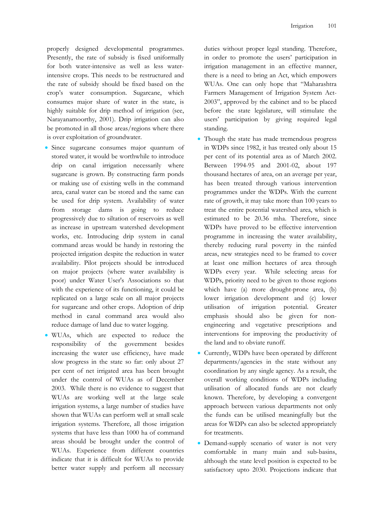properly designed developmental programmes. Presently, the rate of subsidy is fixed uniformally for both water-intensive as well as less waterintensive crops. This needs to be restructured and the rate of subsidy should be fixed based on the crop's water consumption. Sugarcane, which consumes major share of water in the state, is highly suitable for drip method of irrigation (see, Narayanamoorthy, 2001). Drip irrigation can also be promoted in all those areas/regions where there is over exploitation of groundwater.

- Since sugarcane consumes major quantum of stored water, it would be worthwhile to introduce drip on canal irrigation necessarily where sugarcane is grown. By constructing farm ponds or making use of existing wells in the command area, canal water can be stored and the same can be used for drip system. Availability of water from storage dams is going to reduce progressively due to siltation of reservoirs as well as increase in upstream watershed development works, etc. Introducing drip system in canal command areas would be handy in restoring the projected irrigation despite the reduction in water availability. Pilot projects should be introduced on major projects (where water availability is poor) under Water User's Associations so that with the experience of its functioning, it could be replicated on a large scale on all major projects for sugarcane and other crops. Adoption of drip method in canal command area would also reduce damage of land due to water logging.
- WUAs, which are expected to reduce the responsibility of the government besides increasing the water use efficiency, have made slow progress in the state so far: only about 27 per cent of net irrigated area has been brought under the control of WUAs as of December 2003. While there is no evidence to suggest that WUAs are working well at the large scale irrigation systems, a large number of studies have shown that WUAs can perform well at small scale irrigation systems. Therefore, all those irrigation systems that have less than 1000 ha of command areas should be brought under the control of WUAs. Experience from different countries indicate that it is difficult for WUAs to provide better water supply and perform all necessary

duties without proper legal standing. Therefore, in order to promote the users' participation in irrigation management in an effective manner, there is a need to bring an Act, which empowers WUAs. One can only hope that "Maharashtra Farmers Management of Irrigation System Act-2003", approved by the cabinet and to be placed before the state legislature, will stimulate the users' participation by giving required legal standing.

- Though the state has made tremendous progress in WDPs since 1982, it has treated only about 15 per cent of its potential area as of March 2002. Between 1994-95 and 2001-02, about 197 thousand hectares of area, on an average per year, has been treated through various intervention programmes under the WDPs. With the current rate of growth, it may take more than 100 years to treat the entire potential watershed area, which is estimated to be 20.36 mha. Therefore, since WDPs have proved to be effective intervention programme in increasing the water availability, thereby reducing rural poverty in the rainfed areas, new strategies need to be framed to cover at least one million hectares of area through WDPs every year. While selecting areas for WDPs, priority need to be given to those regions which have (a) more drought-prone area, (b) lower irrigation development and (c) lower utilisation of irrigation potential. Greater emphasis should also be given for nonengineering and vegetative prescriptions and interventions for improving the productivity of the land and to obviate runoff.
- Currently, WDPs have been operated by different departments/agencies in the state without any coordination by any single agency. As a result, the overall working conditions of WDPs including utilisation of allocated funds are not clearly known. Therefore, by developing a convergent approach between various departments not only the funds can be utilised meaningfully but the areas for WDPs can also be selected appropriately for treatments.
- Demand-supply scenario of water is not very comfortable in many main and sub-basins, although the state level position is expected to be satisfactory upto 2030. Projections indicate that